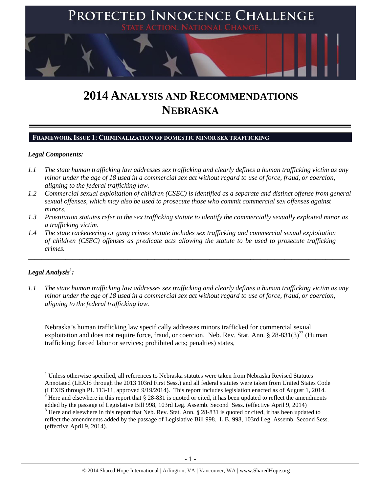

# **2014 ANALYSIS AND RECOMMENDATIONS NEBRASKA**

## **FRAMEWORK ISSUE 1: CRIMINALIZATION OF DOMESTIC MINOR SEX TRAFFICKING**

## *Legal Components:*

- *1.1 The state human trafficking law addresses sex trafficking and clearly defines a human trafficking victim as any minor under the age of 18 used in a commercial sex act without regard to use of force, fraud, or coercion, aligning to the federal trafficking law.*
- *1.2 Commercial sexual exploitation of children (CSEC) is identified as a separate and distinct offense from general sexual offenses, which may also be used to prosecute those who commit commercial sex offenses against minors.*
- *1.3 Prostitution statutes refer to the sex trafficking statute to identify the commercially sexually exploited minor as a trafficking victim.*

\_\_\_\_\_\_\_\_\_\_\_\_\_\_\_\_\_\_\_\_\_\_\_\_\_\_\_\_\_\_\_\_\_\_\_\_\_\_\_\_\_\_\_\_\_\_\_\_\_\_\_\_\_\_\_\_\_\_\_\_\_\_\_\_\_\_\_\_\_\_\_\_\_\_\_\_\_\_\_\_\_\_\_\_\_\_\_\_\_\_\_\_\_\_

*1.4 The state racketeering or gang crimes statute includes sex trafficking and commercial sexual exploitation of children (CSEC) offenses as predicate acts allowing the statute to be used to prosecute trafficking crimes.* 

# $\bm{L}$ egal Analysis $^1$ :

 $\overline{a}$ 

*1.1 The state human trafficking law addresses sex trafficking and clearly defines a human trafficking victim as any minor under the age of 18 used in a commercial sex act without regard to use of force, fraud, or coercion, aligning to the federal trafficking law.*

<span id="page-0-0"></span>Nebraska's human trafficking law specifically addresses minors trafficked for commercial sexual exploitation and does not require force, fraud, or coercion. Neb. Rev. Stat. Ann.  $\S 28-831(3)^{23}$  (Human trafficking; forced labor or services; prohibited acts; penalties) states,

<sup>&</sup>lt;sup>1</sup> Unless otherwise specified, all references to Nebraska statutes were taken from Nebraska Revised Statutes Annotated (LEXIS through the 2013 103rd First Sess.) and all federal statutes were taken from United States Code (LEXIS through PL 113-11, approved 9/19/2014). This report includes legislation enacted as of August 1, 2014. <sup>2</sup> Here and elsewhere in this report that § 28-831 is quoted or cited, it has been updated to reflect the amendments

added by the passage of Legislative Bill 998, 103rd Leg. Assemb. Second Sess. (effective April 9, 2014) <sup>3</sup> Here and elsewhere in this report that Neb. Rev. Stat. Ann. § 28-831 is quoted or cited, it has been updated to

reflect the amendments added by the passage of Legislative Bill 998. L.B. 998, 103rd Leg. Assemb. Second Sess. (effective April 9, 2014).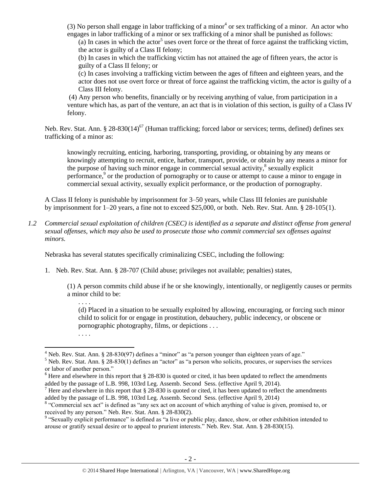(3) No person shall engage in labor trafficking of a minor<sup>4</sup> or sex trafficking of a minor. An actor who engages in labor trafficking of a minor or sex trafficking of a minor shall be punished as follows:

(a) In cases in which the actor<sup>5</sup> uses overt force or the threat of force against the trafficking victim, the actor is guilty of a Class II felony;

(b) In cases in which the trafficking victim has not attained the age of fifteen years, the actor is guilty of a Class II felony; or

(c) In cases involving a trafficking victim between the ages of fifteen and eighteen years, and the actor does not use overt force or threat of force against the trafficking victim, the actor is guilty of a Class III felony.

(4) Any person who benefits, financially or by receiving anything of value, from participation in a venture which has, as part of the venture, an act that is in violation of this section, is guilty of a Class IV felony.

Neb. Rev. Stat. Ann. § 28-830(14)<sup>67</sup> (Human trafficking; forced labor or services; terms, defined) defines sex trafficking of a minor as:

<span id="page-1-0"></span>knowingly recruiting, enticing, harboring, transporting, providing, or obtaining by any means or knowingly attempting to recruit, entice, harbor, transport, provide, or obtain by any means a minor for the purpose of having such minor engage in commercial sexual activity, $\frac{8}{3}$  sexually explicit performance,<sup>9</sup> or the production of pornography or to cause or attempt to cause a minor to engage in commercial sexual activity, sexually explicit performance, or the production of pornography.

A Class II felony is punishable by imprisonment for 3–50 years, while Class III felonies are punishable by imprisonment for 1–20 years, a fine not to exceed \$25,000, or both. Neb. Rev. Stat. Ann. § 28-105(1).

*1.2 Commercial sexual exploitation of children (CSEC) is identified as a separate and distinct offense from general sexual offenses, which may also be used to prosecute those who commit commercial sex offenses against minors.*

Nebraska has several statutes specifically criminalizing CSEC, including the following:

1. Neb. Rev. Stat. Ann. § 28-707 (Child abuse; privileges not available; penalties) states,

(1) A person commits child abuse if he or she knowingly, intentionally, or negligently causes or permits a minor child to be:

(d) Placed in a situation to be sexually exploited by allowing, encouraging, or forcing such minor child to solicit for or engage in prostitution, debauchery, public indecency, or obscene or pornographic photography, films, or depictions . . .

l

. . . .

<sup>. . .</sup> .

 $4$  Neb. Rev. Stat. Ann. § 28-830(97) defines a "minor" as "a person younger than eighteen years of age."

 $5$  Neb. Rev. Stat. Ann. § 28-830(1) defines an "actor" as "a person who solicits, procures, or supervises the services or labor of another person."

<sup>&</sup>lt;sup>6</sup> Here and elsewhere in this report that § 28-830 is quoted or cited, it has been updated to reflect the amendments added by the passage of L.B. 998, 103rd Leg. Assemb. Second Sess. (effective April 9, 2014).

 $<sup>7</sup>$  Here and elsewhere in this report that § 28-830 is quoted or cited, it has been updated to reflect the amendments</sup> added by the passage of L.B. 998, 103rd Leg. Assemb. Second Sess. (effective April 9, 2014)

<sup>&</sup>lt;sup>8</sup> "Commercial sex act" is defined as "any sex act on account of which anything of value is given, promised to, or received by any person." Neb. Rev. Stat. Ann. § 28-830(2).

<sup>&</sup>lt;sup>9</sup> "Sexually explicit performance" is defined as "a live or public play, dance, show, or other exhibition intended to arouse or gratify sexual desire or to appeal to prurient interests." Neb. Rev. Stat. Ann. § 28-830(15).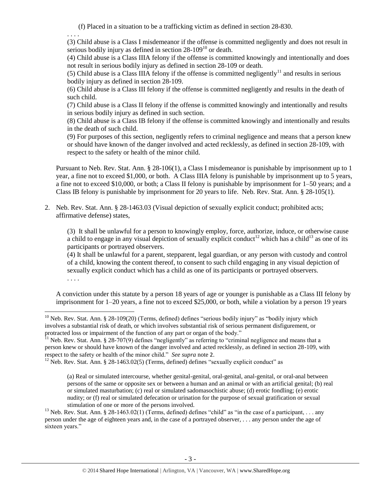<span id="page-2-1"></span>(f) Placed in a situation to be a trafficking victim as defined in section 28-830.

. . . .

(3) Child abuse is a Class I misdemeanor if the offense is committed negligently and does not result in serious bodily injury as defined in section  $28-109^{10}$  or death.

(4) Child abuse is a Class IIIA felony if the offense is committed knowingly and intentionally and does not result in serious bodily injury as defined in section 28-109 or death.

(5) Child abuse is a Class IIIA felony if the offense is committed negligently<sup>11</sup> and results in serious bodily injury as defined in section 28-109.

(6) Child abuse is a Class III felony if the offense is committed negligently and results in the death of such child.

(7) Child abuse is a Class II felony if the offense is committed knowingly and intentionally and results in serious bodily injury as defined in such section.

(8) Child abuse is a Class IB felony if the offense is committed knowingly and intentionally and results in the death of such child.

(9) For purposes of this section, negligently refers to criminal negligence and means that a person knew or should have known of the danger involved and acted recklessly, as defined in section 28-109, with respect to the safety or health of the minor child.

Pursuant to Neb. Rev. Stat. Ann. § 28-106(1), a Class I misdemeanor is punishable by imprisonment up to 1 year, a fine not to exceed \$1,000, or both. A Class IIIA felony is punishable by imprisonment up to 5 years, a fine not to exceed \$10,000, or both; a Class II felony is punishable by imprisonment for 1–50 years; and a Class IB felony is punishable by imprisonment for 20 years to life. Neb. Rev. Stat. Ann. § 28-105(1).

2. Neb. Rev. Stat. Ann. § 28-1463.03 (Visual depiction of sexually explicit conduct; prohibited acts; affirmative defense) states,

<span id="page-2-2"></span><span id="page-2-0"></span>(3) It shall be unlawful for a person to knowingly employ, force, authorize, induce, or otherwise cause a child to engage in any visual depiction of sexually explicit conduct<sup>12</sup> which has a child<sup>13</sup> as one of its participants or portrayed observers.

(4) It shall be unlawful for a parent, stepparent, legal guardian, or any person with custody and control of a child, knowing the content thereof, to consent to such child engaging in any visual depiction of sexually explicit conduct which has a child as one of its participants or portrayed observers. . . . .

A conviction under this statute by a person 18 years of age or younger is punishable as a Class III felony by imprisonment for 1–20 years, a fine not to exceed \$25,000, or both, while a violation by a person 19 years

 $\overline{\phantom{a}}$ <sup>10</sup> Neb. Rev. Stat. Ann. § 28-109(20) (Terms, defined) defines "serious bodily injury" as "bodily injury which involves a substantial risk of death, or which involves substantial risk of serious permanent disfigurement, or protracted loss or impairment of the function of any part or organ of the body."

 $11$  Neb. Rev. Stat. Ann. § 28-707(9) defines "negligently" as referring to "criminal negligence and means that a person knew or should have known of the danger involved and acted recklessly, as defined in section 28-109, with respect to the safety or health of the minor child." *See supra* note [2](#page-0-0).

<sup>&</sup>lt;sup>12</sup> Neb. Rev. Stat. Ann. § 28-1463.02(5) (Terms, defined) defines "sexually explicit conduct" as

<sup>(</sup>a) Real or simulated intercourse, whether genital-genital, oral-genital, anal-genital, or oral-anal between persons of the same or opposite sex or between a human and an animal or with an artificial genital; (b) real or simulated masturbation; (c) real or simulated sadomasochistic abuse; (d) erotic fondling; (e) erotic nudity; or (f) real or simulated defecation or urination for the purpose of sexual gratification or sexual stimulation of one or more of the persons involved.

<sup>&</sup>lt;sup>13</sup> Neb. Rev. Stat. Ann. § 28-1463.02(1) (Terms, defined) defines "child" as "in the case of a participant, ... any person under the age of eighteen years and, in the case of a portrayed observer, . . . any person under the age of sixteen years."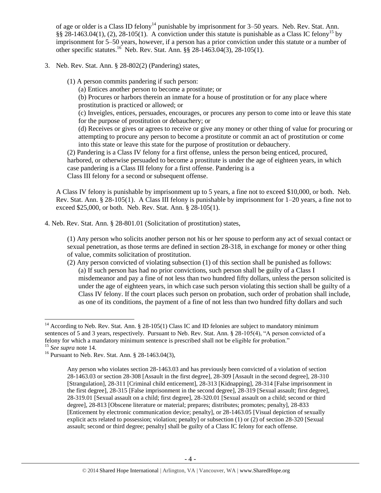<span id="page-3-0"></span>of age or older is a Class ID felony<sup>14</sup> punishable by imprisonment for 3–50 years. Neb. Rev. Stat. Ann. §§ 28-1463.04(1), (2), 28-105(1). A conviction under this statute is punishable as a Class IC felony<sup>15</sup> by imprisonment for 5–50 years, however, if a person has a prior conviction under this statute or a number of other specific statutes.<sup>16</sup> Neb. Rev. Stat. Ann. §§ 28-1463.04(3), 28-105(1).

- 3. Neb. Rev. Stat. Ann. § 28-802(2) (Pandering) states,
	- (1) A person commits pandering if such person:
		- (a) Entices another person to become a prostitute; or

<span id="page-3-1"></span>(b) Procures or harbors therein an inmate for a house of prostitution or for any place where prostitution is practiced or allowed; or

(c) Inveigles, entices, persuades, encourages, or procures any person to come into or leave this state for the purpose of prostitution or debauchery; or

(d) Receives or gives or agrees to receive or give any money or other thing of value for procuring or attempting to procure any person to become a prostitute or commit an act of prostitution or come into this state or leave this state for the purpose of prostitution or debauchery.

(2) Pandering is a Class IV felony for a first offense, unless the person being enticed, procured, harbored, or otherwise persuaded to become a prostitute is under the age of eighteen years, in which case pandering is a Class III felony for a first offense. Pandering is a Class III felony for a second or subsequent offense.

A Class IV felony is punishable by imprisonment up to 5 years, a fine not to exceed \$10,000, or both. Neb. Rev. Stat. Ann. § 28-105(1). A Class III felony is punishable by imprisonment for 1–20 years, a fine not to exceed \$25,000, or both. Neb. Rev. Stat. Ann. § 28-105(1).

4. Neb. Rev. Stat. Ann. § 28-801.01 (Solicitation of prostitution) states,

(1) Any person who solicits another person not his or her spouse to perform any act of sexual contact or sexual penetration, as those terms are defined in section 28-318, in exchange for money or other thing of value, commits solicitation of prostitution.

(2) Any person convicted of violating subsection (1) of this section shall be punished as follows: (a) If such person has had no prior convictions, such person shall be guilty of a Class I misdemeanor and pay a fine of not less than two hundred fifty dollars, unless the person solicited is under the age of eighteen years, in which case such person violating this section shall be guilty of a Class IV felony. If the court places such person on probation, such order of probation shall include, as one of its conditions, the payment of a fine of not less than two hundred fifty dollars and such

l

<sup>&</sup>lt;sup>14</sup> According to Neb. Rev. Stat. Ann. § 28-105(1) Class IC and ID felonies are subject to mandatory minimum sentences of 5 and 3 years, respectively. Pursuant to Neb. Rev. Stat. Ann. § 28-105(4), "A person convicted of a felony for which a mandatory minimum sentence is prescribed shall not be eligible for probation." <sup>15</sup> *See supra* note [14.](#page-3-0) 

<sup>&</sup>lt;sup>16</sup> Pursuant to Neb. Rev. Stat. Ann. § 28-1463.04(3),

Any person who violates section 28-1463.03 and has previously been convicted of a violation of section 28-1463.03 or section 28-308 [Assault in the first degree], 28-309 [Assault in the second degree], 28-310 [Strangulation], 28-311 [Criminal child enticement], 28-313 [Kidnapping], 28-314 [False imprisonment in the first degree], 28-315 [False imprisonment in the second degree], 28-319 [Sexual assault; first degree], 28-319.01 [Sexual assault on a child; first degree], 28-320.01 [Sexual assault on a child; second or third degree], 28-813 [Obscene literature or material; prepares; distributes; promotes; penalty], 28-833 [Enticement by electronic communication device; penalty], or 28-1463.05 [Visual depiction of sexually explicit acts related to possession; violation; penalty] or subsection (1) or (2) of section 28-320 [Sexual assault; second or third degree; penalty] shall be guilty of a Class IC felony for each offense.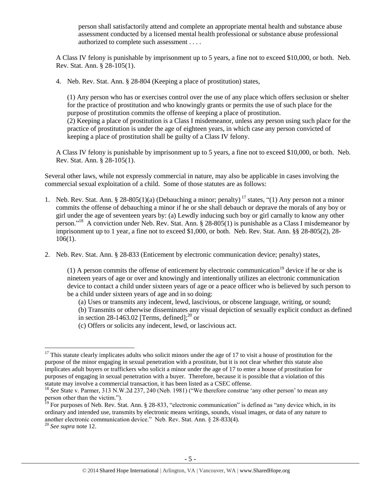person shall satisfactorily attend and complete an appropriate mental health and substance abuse assessment conducted by a licensed mental health professional or substance abuse professional authorized to complete such assessment . . . .

A Class IV felony is punishable by imprisonment up to 5 years, a fine not to exceed \$10,000, or both. Neb. Rev. Stat. Ann. § 28-105(1).

4. Neb. Rev. Stat. Ann. § 28-804 (Keeping a place of prostitution) states,

(1) Any person who has or exercises control over the use of any place which offers seclusion or shelter for the practice of prostitution and who knowingly grants or permits the use of such place for the purpose of prostitution commits the offense of keeping a place of prostitution.

(2) Keeping a place of prostitution is a Class I misdemeanor, unless any person using such place for the practice of prostitution is under the age of eighteen years, in which case any person convicted of keeping a place of prostitution shall be guilty of a Class IV felony.

A Class IV felony is punishable by imprisonment up to 5 years, a fine not to exceed \$10,000, or both. Neb. Rev. Stat. Ann. § 28-105(1).

Several other laws, while not expressly commercial in nature, may also be applicable in cases involving the commercial sexual exploitation of a child. Some of those statutes are as follows:

- 1. Neb. Rev. Stat. Ann. § 28-805(1)(a) (Debauching a minor; penalty)<sup>17</sup> states, "(1) Any person not a minor commits the offense of debauching a minor if he or she shall debauch or deprave the morals of any boy or girl under the age of seventeen years by: (a) Lewdly inducing such boy or girl carnally to know any other person."<sup>18</sup> A conviction under Neb. Rev. Stat. Ann. § 28-805(1) is punishable as a Class I misdemeanor by imprisonment up to 1 year, a fine not to exceed \$1,000, or both. Neb. Rev. Stat. Ann. §§ 28-805(2), 28- 106(1).
- 2. Neb. Rev. Stat. Ann. § 28-833 (Enticement by electronic communication device; penalty) states,

<span id="page-4-0"></span>(1) A person commits the offense of enticement by electronic communication<sup>19</sup> device if he or she is nineteen years of age or over and knowingly and intentionally utilizes an electronic communication device to contact a child under sixteen years of age or a peace officer who is believed by such person to be a child under sixteen years of age and in so doing:

(a) Uses or transmits any indecent, lewd, lascivious, or obscene language, writing, or sound;

(b) Transmits or otherwise disseminates any visual depiction of sexually explicit conduct as defined in section [28-1463.02](http://nebraskalegislature.gov/laws/statutes.php?statute=28-1463.02) [Terms, defined];<sup>20</sup> or

(c) Offers or solicits any indecent, lewd, or lascivious act.

 $\overline{a}$  $17$  This statute clearly implicates adults who solicit minors under the age of 17 to visit a house of prostitution for the purpose of the minor engaging in sexual penetration with a prostitute, but it is not clear whether this statute also implicates adult buyers or traffickers who solicit a minor under the age of 17 to enter a house of prostitution for purposes of engaging in sexual penetration with a buyer. Therefore, because it is possible that a violation of this statute may involve a commercial transaction, it has been listed as a CSEC offense.

<sup>&</sup>lt;sup>18</sup> See State v. Parmer, 313 N.W.2d 237, 240 (Neb. 1981) ("We therefore construe 'any other person' to mean any person other than the victim.").

 $19$  For purposes of Neb. Rev. Stat. Ann. § 28-833, "electronic communication" is defined as "any device which, in its ordinary and intended use, transmits by electronic means writings, sounds, visual images, or data of any nature to another electronic communication device." Neb. Rev. Stat. Ann. § 28-833(4).

<sup>20</sup> *See supra* note [12.](#page-2-0)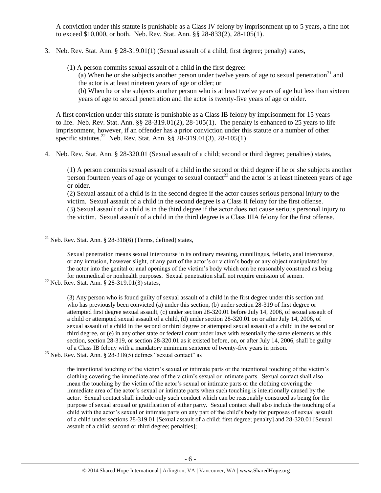A conviction under this statute is punishable as a Class IV felony by imprisonment up to 5 years, a fine not to exceed \$10,000, or both. Neb. Rev. Stat. Ann. §§ 28-833(2), 28-105(1).

- 3. Neb. Rev. Stat. Ann. § 28-319.01(1) (Sexual assault of a child; first degree; penalty) states,
	- (1) A person commits sexual assault of a child in the first degree:

(a) When he or she subjects another person under twelve years of age to sexual penetration<sup>21</sup> and the actor is at least nineteen years of age or older; or

(b) When he or she subjects another person who is at least twelve years of age but less than sixteen years of age to sexual penetration and the actor is twenty-five years of age or older.

A first conviction under this statute is punishable as a Class IB felony by imprisonment for 15 years to life. Neb. Rev. Stat. Ann.  $\S § 28-319.01(2), 28-105(1)$ . The penalty is enhanced to 25 years to life imprisonment, however, if an offender has a prior conviction under this statute or a number of other specific statutes.<sup>22</sup> Neb. Rev. Stat. Ann.  $\S$ § 28-319.01(3), 28-105(1).

4. Neb. Rev. Stat. Ann. § 28-320.01 (Sexual assault of a child; second or third degree; penalties) states,

(1) A person commits sexual assault of a child in the second or third degree if he or she subjects another person fourteen years of age or younger to sexual contact<sup>23</sup> and the actor is at least nineteen years of age or older.

(2) Sexual assault of a child is in the second degree if the actor causes serious personal injury to the victim. Sexual assault of a child in the second degree is a Class II felony for the first offense. (3) Sexual assault of a child is in the third degree if the actor does not cause serious personal injury to the victim. Sexual assault of a child in the third degree is a Class IIIA felony for the first offense.

 $23$  Neb. Rev. Stat. Ann. § 28-318(5) defines "sexual contact" as

the intentional touching of the victim's sexual or intimate parts or the intentional touching of the victim's clothing covering the immediate area of the victim's sexual or intimate parts. Sexual contact shall also mean the touching by the victim of the actor's sexual or intimate parts or the clothing covering the immediate area of the actor's sexual or intimate parts when such touching is intentionally caused by the actor. Sexual contact shall include only such conduct which can be reasonably construed as being for the purpose of sexual arousal or gratification of either party. Sexual contact shall also include the touching of a child with the actor's sexual or intimate parts on any part of the child's body for purposes of sexual assault of a child under sections 28-319.01 [Sexual assault of a child; first degree; penalty] and 28-320.01 [Sexual assault of a child; second or third degree; penalties];

 $\overline{\phantom{a}}$  $21$  Neb. Rev. Stat. Ann. § 28-318(6) (Terms, defined) states,

Sexual penetration means sexual intercourse in its ordinary meaning, cunnilingus, fellatio, anal intercourse, or any intrusion, however slight, of any part of the actor's or victim's body or any object manipulated by the actor into the genital or anal openings of the victim's body which can be reasonably construed as being for nonmedical or nonhealth purposes. Sexual penetration shall not require emission of semen.

<sup>&</sup>lt;sup>22</sup> Neb. Rev. Stat. Ann. § 28-319.01(3) states,

<sup>(3)</sup> Any person who is found guilty of sexual assault of a child in the first degree under this section and who has previously been convicted (a) under this section, (b) under section 28-319 of first degree or attempted first degree sexual assault, (c) under section 28-320.01 before July 14, 2006, of sexual assault of a child or attempted sexual assault of a child, (d) under section 28-320.01 on or after July 14, 2006, of sexual assault of a child in the second or third degree or attempted sexual assault of a child in the second or third degree, or (e) in any other state or federal court under laws with essentially the same elements as this section, section 28-319, or section 28-320.01 as it existed before, on, or after July 14, 2006, shall be guilty of a Class IB felony with a mandatory minimum sentence of twenty-five years in prison.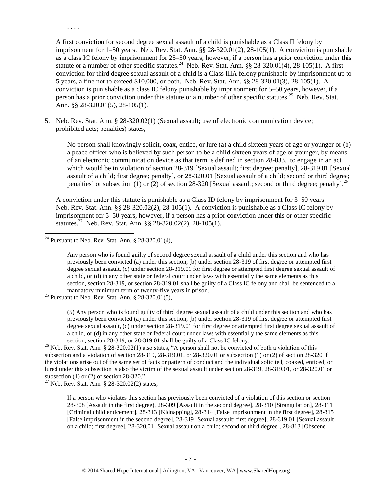A first conviction for second degree sexual assault of a child is punishable as a Class II felony by imprisonment for 1–50 years. Neb. Rev. Stat. Ann. §§ 28-320.01(2), 28-105(1). A conviction is punishable as a class IC felony by imprisonment for 25–50 years, however, if a person has a prior conviction under this statute or a number of other specific statutes.<sup>24</sup> Neb. Rev. Stat. Ann. §§ 28-320.01(4), 28-105(1). A first conviction for third degree sexual assault of a child is a Class IIIA felony punishable by imprisonment up to 5 years, a fine not to exceed \$10,000, or both. Neb. Rev. Stat. Ann. §§ 28-320.01(3), 28-105(1). A conviction is punishable as a class IC felony punishable by imprisonment for 5–50 years, however, if a person has a prior conviction under this statute or a number of other specific statutes.<sup>25</sup> Neb. Rev. Stat. Ann. §§ 28-320.01(5), 28-105(1).

5. Neb. Rev. Stat. Ann. § 28-320.02(1) (Sexual assault; use of electronic communication device; prohibited acts; penalties) states,

No person shall knowingly solicit, coax, entice, or lure (a) a child sixteen years of age or younger or (b) a peace officer who is believed by such person to be a child sixteen years of age or younger, by means of an electronic communication device as that term is defined in section 28-833, to engage in an act which would be in violation of section [28-319](http://nebraskalegislature.gov/laws/statutes.php?statute=28-319) [Sexual assault; first degree; penalty], [28-319.01](http://nebraskalegislature.gov/laws/statutes.php?statute=28-319.01) [Sexual assault of a child; first degree; penalty], or [28-320.01](http://nebraskalegislature.gov/laws/statutes.php?statute=28-320.01) [Sexual assault of a child; second or third degree; penalties] or subsection (1) or (2) of section [28-320](http://nebraskalegislature.gov/laws/statutes.php?statute=28-320) [Sexual assault; second or third degree; penalty].<sup>26</sup>

<span id="page-6-0"></span>A conviction under this statute is punishable as a Class ID felony by imprisonment for 3–50 years. Neb. Rev. Stat. Ann. §§ 28-320.02(2), 28-105(1). A conviction is punishable as a Class IC felony by imprisonment for 5–50 years, however, if a person has a prior conviction under this or other specific statutes.<sup>27</sup> Neb. Rev. Stat. Ann. §§ 28-320.02(2), 28-105(1).

 $\overline{a}$ 

. . . .

(5) Any person who is found guilty of third degree sexual assault of a child under this section and who has previously been convicted (a) under this section, (b) under section 28-319 of first degree or attempted first degree sexual assault, (c) under section 28-319.01 for first degree or attempted first degree sexual assault of a child, or (d) in any other state or federal court under laws with essentially the same elements as this section, section 28-319, or 28-319.01 shall be guilty of a Class IC felony.

<sup>26</sup> Neb. Rev. Stat. Ann. § 28-320.02(1) also states, "A person shall not be convicted of both a violation of this subsection and a violation of section 28-319, 28-319.01, or 28-320.01 or subsection (1) or (2) of section 28-320 if the violations arise out of the same set of facts or pattern of conduct and the individual solicited, coaxed, enticed, or lured under this subsection is also the victim of the sexual assault under section 28-319, 28-319.01, or 28-320.01 or subsection (1) or (2) of section 28-320."

<sup>27</sup> Neb. Rev. Stat. Ann. § 28-320.02(2) states,

If a person who violates this section has previously been convicted of a violation of this section or section 28-308 [Assault in the first degree), 28-309 [Assault in the second degree], 28-310 [Strangulation], 28-311 [Criminal child enticement], 28-313 [Kidnapping], 28-314 [False imprisonment in the first degree], 28-315 [False imprisonment in the second degree], 28-319 [Sexual assault; first degree], 28-319.01 [Sexual assault on a child; first degree], 28-320.01 [Sexual assault on a child; second or third degree], 28-813 [Obscene

<sup>&</sup>lt;sup>24</sup> Pursuant to Neb. Rev. Stat. Ann.  $\S$  28-320.01(4),

Any person who is found guilty of second degree sexual assault of a child under this section and who has previously been convicted (a) under this section, (b) under section 28-319 of first degree or attempted first degree sexual assault, (c) under section 28-319.01 for first degree or attempted first degree sexual assault of a child, or (d) in any other state or federal court under laws with essentially the same elements as this section, section 28-319, or section 28-319.01 shall be guilty of a Class IC felony and shall be sentenced to a mandatory minimum term of twenty-five years in prison.

 $25$  Pursuant to Neb. Rev. Stat. Ann. § 28-320.01(5),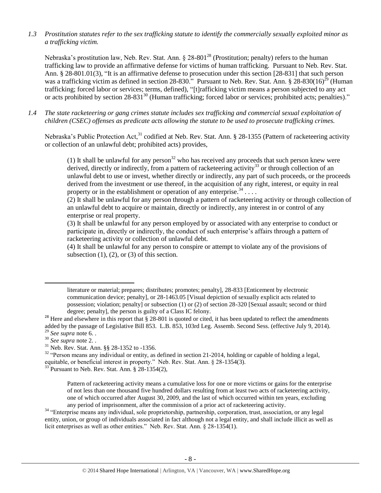*1.3 Prostitution statutes refer to the sex trafficking statute to identify the commercially sexually exploited minor as a trafficking victim.* 

<span id="page-7-0"></span>Nebraska's prostitution law, Neb. Rev. Stat. Ann.  $\S 28-801^{28}$  (Prostitution; penalty) refers to the human trafficking law to provide an affirmative defense for victims of human trafficking. Pursuant to Neb. Rev. Stat. Ann. § 28-801.01(3), "It is an affirmative defense to prosecution under this section [28-831] that such person was a trafficking victim as defined in section 28-830." Pursuant to Neb. Rev. Stat. Ann.  $\S 28-830(16)^{29}$  (Human trafficking; forced labor or services; terms, defined), "[t]rafficking victim means a person subjected to any act or acts prohibited by section 28-831<sup>30</sup> (Human trafficking; forced labor or services; prohibited acts; penalties)."

*1.4 The state racketeering or gang crimes statute includes sex trafficking and commercial sexual exploitation of children (CSEC) offenses as predicate acts allowing the statute to be used to prosecute trafficking crimes.* 

Nebraska's Public Protection Act,<sup>31</sup> codified at Neb. Rev. Stat. Ann. § 28-1355 (Pattern of racketeering activity or collection of an unlawful debt; prohibited acts) provides,

(1) It shall be unlawful for any person<sup>32</sup> who has received any proceeds that such person knew were derived, directly or indirectly, from a pattern of racketeering activity<sup>33</sup> or through collection of an unlawful debt to use or invest, whether directly or indirectly, any part of such proceeds, or the proceeds derived from the investment or use thereof, in the acquisition of any right, interest, or equity in real property or in the establishment or operation of any enterprise.  $34$ ...

(2) It shall be unlawful for any person through a pattern of racketeering activity or through collection of an unlawful debt to acquire or maintain, directly or indirectly, any interest in or control of any enterprise or real property.

(3) It shall be unlawful for any person employed by or associated with any enterprise to conduct or participate in, directly or indirectly, the conduct of such enterprise's affairs through a pattern of racketeering activity or collection of unlawful debt.

(4) It shall be unlawful for any person to conspire or attempt to violate any of the provisions of subsection  $(1)$ ,  $(2)$ , or  $(3)$  of this section.

 $\overline{a}$ 

literature or material; prepares; distributes; promotes; penalty], 28-833 [Enticement by electronic communication device; penalty], or 28-1463.05 [Visual depiction of sexually explicit acts related to possession; violation; penalty] or subsection (1) or (2) of section 28-320 [Sexual assault; second or third degree; penalty], the person is guilty of a Class IC felony.

<sup>&</sup>lt;sup>28</sup> Here and elsewhere in this report that  $\S$  28-801 is quoted or cited, it has been updated to reflect the amendments added by the passage of Legislative Bill 853. L.B. 853, 103rd Leg. Assemb. Second Sess. (effective July 9, 2014). <sup>29</sup> *See supra* note [6.](#page-1-0) .

<sup>30</sup> *See supra* note [2.](#page-0-0) .

<sup>31</sup> Neb. Rev. Stat. Ann. §§ 28-1352 to -1356.

<sup>&</sup>lt;sup>32</sup> "Person means any individual or entity, as defined in section 21-2014, holding or capable of holding a legal, equitable, or beneficial interest in property." Neb. Rev. Stat. Ann. § 28-1354(3).

 $33$  Pursuant to Neb. Rev. Stat. Ann. § 28-1354(2),

Pattern of racketeering activity means a cumulative loss for one or more victims or gains for the enterprise of not less than one thousand five hundred dollars resulting from at least two acts of racketeering activity, one of which occurred after August 30, 2009, and the last of which occurred within ten years, excluding any period of imprisonment, after the commission of a prior act of racketeering activity.

<sup>&</sup>lt;sup>34</sup> "Enterprise means any individual, sole proprietorship, partnership, corporation, trust, association, or any legal entity, union, or group of individuals associated in fact although not a legal entity, and shall include illicit as well as licit enterprises as well as other entities." Neb. Rev. Stat. Ann. § 28-1354(1).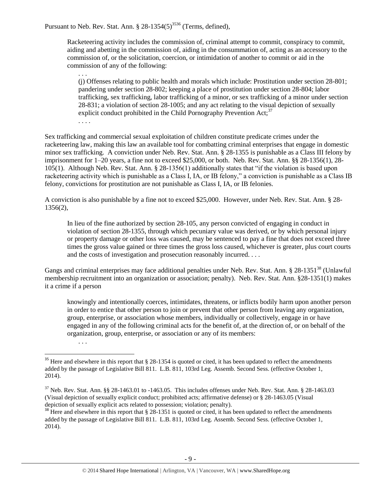Pursuant to Neb. Rev. Stat. Ann.  $\S 28-1354(5)^{3536}$  (Terms, defined),

. . .

. . . .

Racketeering activity includes the commission of, criminal attempt to commit, conspiracy to commit, aiding and abetting in the commission of, aiding in the consummation of, acting as an accessory to the commission of, or the solicitation, coercion, or intimidation of another to commit or aid in the commission of any of the following:

(j) Offenses relating to public health and morals which include: Prostitution under section 28-801; pandering under section 28-802; keeping a place of prostitution under section 28-804; labor trafficking, sex trafficking, labor trafficking of a minor, or sex trafficking of a minor under section 28-831; a violation of section 28-1005; and any act relating to the visual depiction of sexually explicit conduct prohibited in the Child Pornography Prevention Act;<sup>37</sup>

Sex trafficking and commercial sexual exploitation of children constitute predicate crimes under the racketeering law, making this law an available tool for combatting criminal enterprises that engage in domestic minor sex trafficking. A conviction under Neb. Rev. Stat. Ann. § 28-1355 is punishable as a Class III felony by imprisonment for 1–20 years, a fine not to exceed \$25,000, or both. Neb. Rev. Stat. Ann. §§ 28-1356(1), 28- 105(1). Although Neb. Rev. Stat. Ann. § 28-1356(1) additionally states that "if the violation is based upon racketeering activity which is punishable as a Class I, IA, or IB felony," a conviction is punishable as a Class IB felony, convictions for prostitution are not punishable as Class I, IA, or IB felonies.

A conviction is also punishable by a fine not to exceed \$25,000. However, under Neb. Rev. Stat. Ann. § 28- 1356(2),

In lieu of the fine authorized by section 28-105, any person convicted of engaging in conduct in violation of section 28-1355, through which pecuniary value was derived, or by which personal injury or property damage or other loss was caused, may be sentenced to pay a fine that does not exceed three times the gross value gained or three times the gross loss caused, whichever is greater, plus court courts and the costs of investigation and prosecution reasonably incurred. . . .

Gangs and criminal enterprises may face additional penalties under Neb. Rev. Stat. Ann. § 28-1351<sup>38</sup> (Unlawful membership recruitment into an organization or association; penalty). Neb. Rev. Stat. Ann. §28-1351(1) makes it a crime if a person

knowingly and intentionally coerces, intimidates, threatens, or inflicts bodily harm upon another person in order to entice that other person to join or prevent that other person from leaving any organization, group, enterprise, or association whose members, individually or collectively, engage in or have engaged in any of the following criminal acts for the benefit of, at the direction of, or on behalf of the organization, group, enterprise, or association or any of its members:

. . .

 $\overline{a}$  $35$  Here and elsewhere in this report that § 28-1354 is quoted or cited, it has been updated to reflect the amendments added by the passage of Legislative Bill 811. L.B. 811, 103rd Leg. Assemb. Second Sess. (effective October 1,

<sup>2014).</sup>

 $37$  Neb. Rev. Stat. Ann. §§ 28-1463.01 to -1463.05. This includes offenses under Neb. Rev. Stat. Ann. § 28-1463.03 (Visual depiction of sexually explicit conduct; prohibited acts; affirmative defense) or § 28-1463.05 (Visual depiction of sexually explicit acts related to possession; violation; penalty).

 $38$  Here and elsewhere in this report that § 28-1351 is quoted or cited, it has been updated to reflect the amendments added by the passage of Legislative Bill 811. L.B. 811, 103rd Leg. Assemb. Second Sess. (effective October 1, 2014).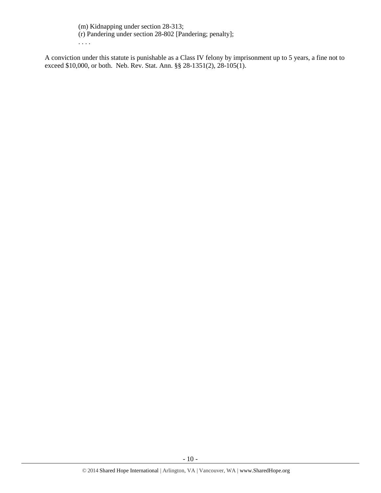(m) Kidnapping under section 28-313;

(r) Pandering under section 28-802 [Pandering; penalty];

. . . .

A conviction under this statute is punishable as a Class IV felony by imprisonment up to 5 years, a fine not to exceed \$10,000, or both. Neb. Rev. Stat. Ann. §§ 28-1351(2), 28-105(1).

- 10 -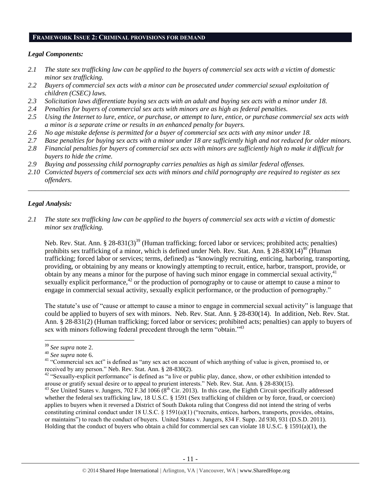#### **FRAMEWORK ISSUE 2: CRIMINAL PROVISIONS FOR DEMAND**

#### *Legal Components:*

- *2.1 The state sex trafficking law can be applied to the buyers of commercial sex acts with a victim of domestic minor sex trafficking.*
- *2.2 Buyers of commercial sex acts with a minor can be prosecuted under commercial sexual exploitation of children (CSEC) laws.*
- *2.3 Solicitation laws differentiate buying sex acts with an adult and buying sex acts with a minor under 18.*
- *2.4 Penalties for buyers of commercial sex acts with minors are as high as federal penalties.*
- *2.5 Using the Internet to lure, entice, or purchase, or attempt to lure, entice, or purchase commercial sex acts with a minor is a separate crime or results in an enhanced penalty for buyers.*
- *2.6 No age mistake defense is permitted for a buyer of commercial sex acts with any minor under 18.*
- *2.7 Base penalties for buying sex acts with a minor under 18 are sufficiently high and not reduced for older minors.*
- *2.8 Financial penalties for buyers of commercial sex acts with minors are sufficiently high to make it difficult for buyers to hide the crime.*
- *2.9 Buying and possessing child pornography carries penalties as high as similar federal offenses.*
- *2.10 Convicted buyers of commercial sex acts with minors and child pornography are required to register as sex offenders.*

\_\_\_\_\_\_\_\_\_\_\_\_\_\_\_\_\_\_\_\_\_\_\_\_\_\_\_\_\_\_\_\_\_\_\_\_\_\_\_\_\_\_\_\_\_\_\_\_\_\_\_\_\_\_\_\_\_\_\_\_\_\_\_\_\_\_\_\_\_\_\_\_\_\_\_\_\_\_\_\_\_\_\_\_\_\_\_\_\_\_\_\_\_\_

## *Legal Analysis:*

*2.1 The state sex trafficking law can be applied to the buyers of commercial sex acts with a victim of domestic minor sex trafficking.*

Neb. Rev. Stat. Ann. § 28-831(3)<sup>39</sup> (Human trafficking; forced labor or services; prohibited acts; penalties) prohibits sex trafficking of a minor, which is defined under Neb. Rev. Stat. Ann. § 28-830(14)<sup>40</sup> (Human trafficking; forced labor or services; terms, defined) as "knowingly recruiting, enticing, harboring, transporting, providing, or obtaining by any means or knowingly attempting to recruit, entice, harbor, transport, provide, or obtain by any means a minor for the purpose of having such minor engage in commercial sexual activity,<sup>41</sup> sexually explicit performance,<sup>42</sup> or the production of pornography or to cause or attempt to cause a minor to engage in commercial sexual activity, sexually explicit performance, or the production of pornography."

The statute's use of "cause or attempt to cause a minor to engage in commercial sexual activity" is language that could be applied to buyers of sex with minors. Neb. Rev. Stat. Ann. § 28-830(14). In addition, Neb. Rev. Stat. Ann. § 28-831(2) (Human trafficking; forced labor or services; prohibited acts; penalties) can apply to buyers of sex with minors following federal precedent through the term "obtain."<sup>43</sup>

 $\overline{\phantom{a}}$ 

<sup>39</sup> *See supra* note [2.](#page-0-0)

<sup>40</sup> *See supra* note [6.](#page-1-0)

<sup>&</sup>lt;sup>41</sup> "Commercial sex act" is defined as "any sex act on account of which anything of value is given, promised to, or received by any person." Neb. Rev. Stat. Ann. § 28-830(2).

<sup>&</sup>lt;sup>42</sup> "Sexually-explicit performance" is defined as "a live or public play, dance, show, or other exhibition intended to arouse or gratify sexual desire or to appeal to prurient interests." Neb. Rev. Stat. Ann. § 28-830(15).

 $^{43}$  *See* United States v. Jungers, 702 F.3d 1066 (8<sup>th</sup> Cir. 2013). In this case, the Eighth Circuit specifically addressed whether the federal sex trafficking law, 18 U.S.C. § 1591 (Sex trafficking of children or by force, fraud, or coercion) applies to buyers when it reversed a District of South Dakota ruling that Congress did not intend the string of verbs constituting criminal conduct under 18 U.S.C. § 1591(a)(1) ("recruits, entices, harbors, transports, provides, obtains, or maintains") to reach the conduct of buyers. United States v. Jungers, 834 F. Supp. 2d 930, 931 (D.S.D. 2011). Holding that the conduct of buyers who obtain a child for commercial sex can violate 18 U.S.C. § 1591(a)(1), the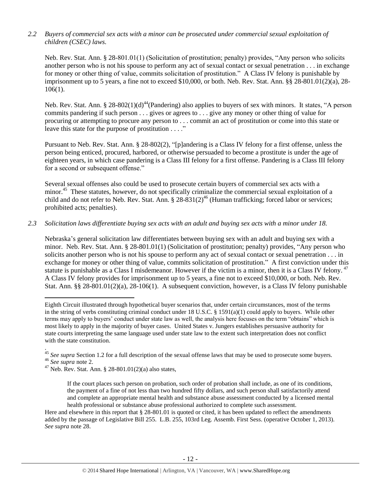# *2.2 Buyers of commercial sex acts with a minor can be prosecuted under commercial sexual exploitation of children (CSEC) laws.*

Neb. Rev. Stat. Ann. § 28-801.01(1) (Solicitation of prostitution; penalty) provides, "Any person who solicits another person who is not his spouse to perform any act of sexual contact or sexual penetration . . . in exchange for money or other thing of value, commits solicitation of prostitution." A Class IV felony is punishable by imprisonment up to 5 years, a fine not to exceed \$10,000, or both. Neb. Rev. Stat. Ann. §§ 28-801.01(2)(a), 28- 106(1).

Neb. Rev. Stat. Ann. § 28-802(1)(d)<sup>44</sup>(Pandering) also applies to buyers of sex with minors. It states, "A person commits pandering if such person . . . gives or agrees to . . . give any money or other thing of value for procuring or attempting to procure any person to . . . commit an act of prostitution or come into this state or leave this state for the purpose of prostitution . . . ."

Pursuant to Neb. Rev. Stat. Ann. § 28-802(2), "[p]andering is a Class IV felony for a first offense, unless the person being enticed, procured, harbored, or otherwise persuaded to become a prostitute is under the age of eighteen years, in which case pandering is a Class III felony for a first offense. Pandering is a Class III felony for a second or subsequent offense."

Several sexual offenses also could be used to prosecute certain buyers of commercial sex acts with a minor.<sup>45</sup> These statutes, however, do not specifically criminalize the commercial sexual exploitation of a child and do not refer to Neb. Rev. Stat. Ann.  $\S 28-831(2)^{46}$  (Human trafficking; forced labor or services; prohibited acts; penalties).

## *2.3 Solicitation laws differentiate buying sex acts with an adult and buying sex acts with a minor under 18.*

Nebraska's general solicitation law differentiates between buying sex with an adult and buying sex with a minor. Neb. Rev. Stat. Ann. § 28-801.01(1) (Solicitation of prostitution; penalty) provides, "Any person who solicits another person who is not his spouse to perform any act of sexual contact or sexual penetration . . . in exchange for money or other thing of value, commits solicitation of prostitution." A first conviction under this statute is punishable as a Class I misdemeanor. However if the victim is a minor, then it is a Class IV felony.<sup>47</sup> A Class IV felony provides for imprisonment up to 5 years, a fine not to exceed \$10,000, or both. Neb. Rev. Stat. Ann. §§ 28-801.01(2)(a), 28-106(1). A subsequent conviction, however, is a Class IV felony punishable

Eighth Circuit illustrated through hypothetical buyer scenarios that, under certain circumstances, most of the terms in the string of verbs constituting criminal conduct under 18 U.S.C. § 1591(a)(1) could apply to buyers. While other terms may apply to buyers' conduct under state law as well, the analysis here focuses on the term "obtains" which is most likely to apply in the majority of buyer cases. United States v. Jungers establishes persuasive authority for state courts interpreting the same language used under state law to the extent such interpretation does not conflict with the state constitution.

. <sup>45</sup> See supra Section 1.2 for a full description of the sexual offense laws that may be used to prosecute some buyers. <sup>46</sup> *See supra* note [2.](#page-0-0)

 $47$  Neb. Rev. Stat. Ann. § 28-801.01(2)(a) also states,

<span id="page-11-0"></span> $\overline{\phantom{a}}$ 

If the court places such person on probation, such order of probation shall include, as one of its conditions, the payment of a fine of not less than two hundred fifty dollars, and such person shall satisfactorily attend and complete an appropriate mental health and substance abuse assessment conducted by a licensed mental health professional or substance abuse professional authorized to complete such assessment.

Here and elsewhere in this report that § 28-801.01 is quoted or cited, it has been updated to reflect the amendments added by the passage of Legislative Bill 255. L.B. 255, 103rd Leg. Assemb. First Sess. (operative October 1, 2013). *See supra* note [28.](#page-7-0)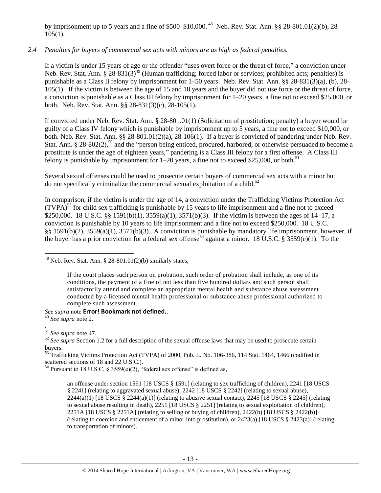by imprisonment up to 5 years and a fine of \$500–\$10,000.<sup>48</sup> Neb. Rev. Stat. Ann. §§ 28-801.01(2)(b), 28- $105(1)$ .

# *2.4 Penalties for buyers of commercial sex acts with minors are as high as federal penalties.*

If a victim is under 15 years of age or the offender "uses overt force or the threat of force," a conviction under Neb. Rev. Stat. Ann.  $\S 28-831(3)^{49}$  (Human trafficking; forced labor or services; prohibited acts; penalties) is punishable as a Class II felony by imprisonment for 1–50 years. Neb. Rev. Stat. Ann. §§ 28-831(3)(a), (b), 28- 105(1). If the victim is between the age of 15 and 18 years and the buyer did not use force or the threat of force, a conviction is punishable as a Class III felony by imprisonment for 1–20 years, a fine not to exceed \$25,000, or both. Neb. Rev. Stat. Ann. §§ 28-831(3)(c), 28-105(1).

If convicted under Neb. Rev. Stat. Ann. § 28-801.01(1) (Solicitation of prostitution; penalty) a buyer would be guilty of a Class IV felony which is punishable by imprisonment up to 5 years, a fine not to exceed \$10,000, or both. Neb. Rev. Stat. Ann. §§ 28-801.01(2)(a), 28-106(1). If a buyer is convicted of pandering under Neb. Rev. Stat. Ann. § 28-802(2),<sup>50</sup> and the "person being enticed, procured, harbored, or otherwise persuaded to become a prostitute is under the age of eighteen years," pandering is a Class III felony for a first offense. A Class III felony is punishable by imprisonment for  $1-20$  years, a fine not to exceed \$25,000, or both.<sup>51</sup>

Several sexual offenses could be used to prosecute certain buyers of commercial sex acts with a minor but do not specifically criminalize the commercial sexual exploitation of a child. 52

In comparison, if the victim is under the age of 14, a conviction under the Trafficking Victims Protection Act  $(TVPA)^{53}$  for child sex trafficking is punishable by 15 years to life imprisonment and a fine not to exceed \$250,000. 18 U.S.C. §§ 1591(b)(1), 3559(a)(1), 3571(b)(3). If the victim is between the ages of 14–17, a conviction is punishable by 10 years to life imprisonment and a fine not to exceed \$250,000. 18 U.S.C. §§ 1591(b)(2), 3559(a)(1), 3571(b)(3). A conviction is punishable by mandatory life imprisonment, however, if the buyer has a prior conviction for a federal sex offense<sup>54</sup> against a minor. 18 U.S.C. § 3559(e)(1). To the

## *See supra* note **Error! Bookmark not defined.**.

<sup>49</sup> *See supra* note [2.](#page-0-0)

l

 $48$  Neb. Rev. Stat. Ann. § 28-801.01(2)(b) similarly states,

If the court places such person on probation, such order of probation shall include, as one of its conditions, the payment of a fine of not less than five hundred dollars and such person shall satisfactorily attend and complete an appropriate mental health and substance abuse assessment conducted by a licensed mental health professional or substance abuse professional authorized to complete such assessment.

<sup>.</sup> <sup>51</sup> *See supra* note [47.](#page-11-0)

<sup>&</sup>lt;sup>52</sup> See supra Section 1.2 for a full description of the sexual offense laws that may be used to prosecute certain buyers.

<sup>&</sup>lt;sup>53</sup> Trafficking Victims Protection Act (TVPA) of 2000, Pub. L. No. 106-386, 114 Stat. 1464, 1466 (codified in scattered sections of 18 and 22 U.S.C.).

<sup>&</sup>lt;sup>54</sup> Pursuant to 18 U.S.C. § 3559(e)(2), "federal sex offense" is defined as,

an offense under section 1591 [18 USCS § 1591] (relating to sex trafficking of children), 2241 [18 USCS § 2241] (relating to aggravated sexual abuse), 2242 [18 USCS § 2242] (relating to sexual abuse),  $2244(a)(1)$  [18 USCS §  $2244(a)(1)$ ] (relating to abusive sexual contact),  $2245$  [18 USCS § 2245] (relating to sexual abuse resulting in death), 2251 [18 USCS § 2251] (relating to sexual exploitation of children), 2251A [18 USCS § 2251A] (relating to selling or buying of children), 2422(b) [18 USCS § 2422(b)] (relating to coercion and enticement of a minor into prostitution), or 2423(a) [18 USCS § 2423(a)] (relating to transportation of minors).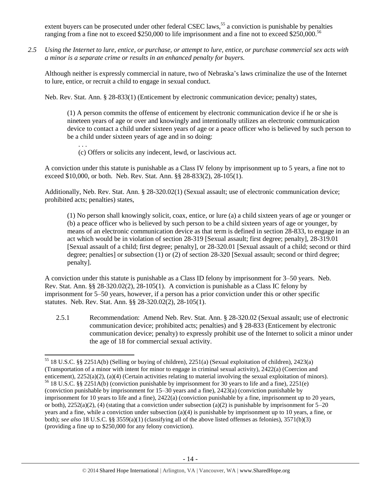extent buyers can be prosecuted under other federal CSEC laws,<sup>55</sup> a conviction is punishable by penalties ranging from a fine not to exceed \$250,000 to life imprisonment and a fine not to exceed \$250,000.<sup>56</sup>

*2.5 Using the Internet to lure, entice, or purchase, or attempt to lure, entice, or purchase commercial sex acts with a minor is a separate crime or results in an enhanced penalty for buyers.*

Although neither is expressly commercial in nature, two of Nebraska's laws criminalize the use of the Internet to lure, entice, or recruit a child to engage in sexual conduct.

Neb. Rev. Stat. Ann. § 28-833(1) (Enticement by electronic communication device; penalty) states,

(1) A person commits the offense of enticement by electronic communication device if he or she is nineteen years of age or over and knowingly and intentionally utilizes an electronic communication device to contact a child under sixteen years of age or a peace officer who is believed by such person to be a child under sixteen years of age and in so doing:

. . . (c) Offers or solicits any indecent, lewd, or lascivious act.

A conviction under this statute is punishable as a Class IV felony by imprisonment up to 5 years, a fine not to exceed \$10,000, or both. Neb. Rev. Stat. Ann. §§ 28-833(2), 28-105(1).

Additionally, Neb. Rev. Stat. Ann. § 28-320.02(1) (Sexual assault; use of electronic communication device; prohibited acts; penalties) states,

(1) No person shall knowingly solicit, coax, entice, or lure (a) a child sixteen years of age or younger or (b) a peace officer who is believed by such person to be a child sixteen years of age or younger, by means of an electronic communication device as that term is defined in section 28-833, to engage in an act which would be in violation of section [28-319](http://nebraskalegislature.gov/laws/statutes.php?statute=28-319) [Sexual assault; first degree; penalty][, 28-319.01](http://nebraskalegislature.gov/laws/statutes.php?statute=28-319.01) [Sexual assault of a child; first degree; penalty], or [28-320.01](http://nebraskalegislature.gov/laws/statutes.php?statute=28-320.01) [Sexual assault of a child; second or third degree; penalties] or subsection (1) or (2) of section [28-320](http://nebraskalegislature.gov/laws/statutes.php?statute=28-320) [Sexual assault; second or third degree; penalty].

A conviction under this statute is punishable as a Class ID felony by imprisonment for 3–50 years. Neb. Rev. Stat. Ann. §§ 28-320.02(2), 28-105(1). A conviction is punishable as a Class IC felony by imprisonment for 5–50 years, however, if a person has a prior conviction under this or other specific statutes. Neb. Rev. Stat. Ann. §§ 28-320.02(2), 28-105(1).

2.5.1 Recommendation: Amend Neb. Rev. Stat. Ann. § 28-320.02 (Sexual assault; use of electronic communication device; prohibited acts; penalties) and § 28-833 (Enticement by electronic communication device; penalty) to expressly prohibit use of the Internet to solicit a minor under the age of 18 for commercial sexual activity.

 $\overline{\phantom{a}}$ <sup>55</sup> 18 U.S.C. §§ 2251A(b) (Selling or buying of children), 2251(a) (Sexual exploitation of children), 2423(a) (Transportation of a minor with intent for minor to engage in criminal sexual activity), 2422(a) (Coercion and enticement), 2252(a)(2), (a)(4) (Certain activities relating to material involving the sexual exploitation of minors). <sup>56</sup> 18 U.S.C. §§ 2251A(b) (conviction punishable by imprisonment for 30 years to life and a fine), 2251(e) (conviction punishable by imprisonment for 15–30 years and a fine), 2423(a) (conviction punishable by imprisonment for 10 years to life and a fine), 2422(a) (conviction punishable by a fine, imprisonment up to 20 years, or both),  $2252(a)(2)$ , (4) (stating that a conviction under subsection (a)(2) is punishable by imprisonment for  $5-20$ years and a fine, while a conviction under subsection (a)(4) is punishable by imprisonment up to 10 years, a fine, or both); *see also* 18 U.S.C. §§ 3559(a)(1) (classifying all of the above listed offenses as felonies), 3571(b)(3) (providing a fine up to \$250,000 for any felony conviction).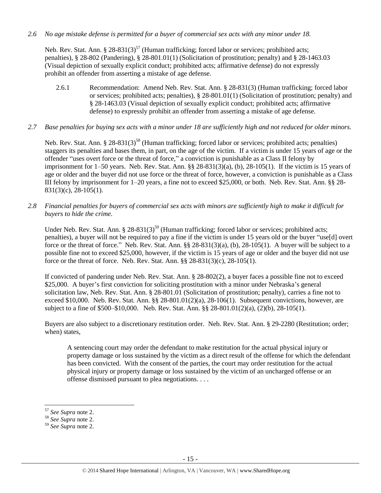*2.6 No age mistake defense is permitted for a buyer of commercial sex acts with any minor under 18.*

Neb. Rev. Stat. Ann.  $\S 28-831(3)^{57}$  (Human trafficking; forced labor or services; prohibited acts; penalties), § 28-802 (Pandering), § 28-801.01(1) (Solicitation of prostitution; penalty) and § 28-1463.03 (Visual depiction of sexually explicit conduct; prohibited acts; affirmative defense) do not expressly prohibit an offender from asserting a mistake of age defense.

- 2.6.1 Recommendation: Amend Neb. Rev. Stat. Ann. § 28-831(3) (Human trafficking; forced labor or services; prohibited acts; penalties), § 28-801.01(1) (Solicitation of prostitution; penalty) and § 28-1463.03 (Visual depiction of sexually explicit conduct; prohibited acts; affirmative defense) to expressly prohibit an offender from asserting a mistake of age defense.
- *2.7 Base penalties for buying sex acts with a minor under 18 are sufficiently high and not reduced for older minors.*

Neb. Rev. Stat. Ann. § 28-831(3)<sup>58</sup> (Human trafficking; forced labor or services; prohibited acts; penalties) staggers its penalties and bases them, in part, on the age of the victim. If a victim is under 15 years of age or the offender "uses overt force or the threat of force," a conviction is punishable as a Class II felony by imprisonment for 1–50 years. Neb. Rev. Stat. Ann. §§ 28-831(3)(a), (b), 28-105(1). If the victim is 15 years of age or older and the buyer did not use force or the threat of force, however, a conviction is punishable as a Class III felony by imprisonment for 1–20 years, a fine not to exceed \$25,000, or both. Neb. Rev. Stat. Ann. §§ 28- 831(3)(c), 28-105(1).

*2.8 Financial penalties for buyers of commercial sex acts with minors are sufficiently high to make it difficult for buyers to hide the crime.* 

Under Neb. Rev. Stat. Ann. § 28-831(3)<sup>59</sup> (Human trafficking; forced labor or services; prohibited acts; penalties), a buyer will not be required to pay a fine if the victim is under 15 years old or the buyer "use[d] overt force or the threat of force." Neb. Rev. Stat. Ann. §§ 28-831(3)(a), (b), 28-105(1). A buyer will be subject to a possible fine not to exceed \$25,000, however, if the victim is 15 years of age or older and the buyer did not use force or the threat of force. Neb. Rev. Stat. Ann. §§ 28-831(3)(c), 28-105(1).

If convicted of pandering under Neb. Rev. Stat. Ann. § 28-802(2), a buyer faces a possible fine not to exceed \$25,000. A buyer's first conviction for soliciting prostitution with a minor under Nebraska's general solicitation law, Neb. Rev. Stat. Ann. § 28-801.01 (Solicitation of prostitution; penalty), carries a fine not to exceed \$10,000. Neb. Rev. Stat. Ann. §§ 28-801.01(2)(a), 28-106(1). Subsequent convictions, however, are subject to a fine of \$500–\$10,000. Neb. Rev. Stat. Ann. §§ 28-801.01(2)(a), (2)(b), 28-105(1).

Buyers are also subject to a discretionary restitution order. Neb. Rev. Stat. Ann. § 29-2280 (Restitution; order; when) states,

A sentencing court may order the defendant to make restitution for the actual physical injury or property damage or loss sustained by the victim as a direct result of the offense for which the defendant has been convicted. With the consent of the parties, the court may order restitution for the actual physical injury or property damage or loss sustained by the victim of an uncharged offense or an offense dismissed pursuant to plea negotiations. . . .

l <sup>57</sup> *See Supra* not[e 2.](#page-0-0)

<sup>58</sup> *See Supra* not[e 2.](#page-0-0)

<sup>59</sup> *See Supra* not[e 2.](#page-0-0)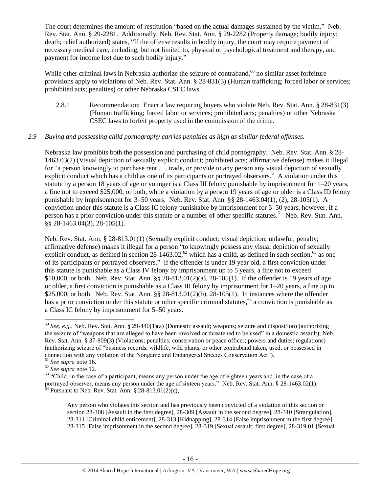The court determines the amount of restitution "based on the actual damages sustained by the victim." Neb. Rev. Stat. Ann. § 29-2281. Additionally, Neb. Rev. Stat. Ann. § 29-2282 (Property damage; bodily injury; death; relief authorized) states, "If the offense results in bodily injury, the court may require payment of necessary medical care, including, but not limited to, physical or psychological treatment and therapy, and payment for income lost due to such bodily injury."

While other criminal laws in Nebraska authorize the seizure of contraband,<sup>60</sup> no similar asset forfeiture provisions apply to violations of Neb. Rev. Stat. Ann. § 28-831(3) (Human trafficking; forced labor or services; prohibited acts; penalties) or other Nebraska CSEC laws.

<span id="page-15-0"></span>2.8.1 Recommendation: Enact a law requiring buyers who violate Neb. Rev. Stat. Ann. § 28-831(3) (Human trafficking; forced labor or services; prohibited acts; penalties) or other Nebraska CSEC laws to forfeit property used in the commission of the crime.

## *2.9 Buying and possessing child pornography carries penalties as high as similar federal offenses.*

Nebraska law prohibits both the possession and purchasing of child pornography. Neb. Rev. Stat. Ann. § 28- 1463.03(2) (Visual depiction of sexually explicit conduct; prohibited acts; affirmative defense) makes it illegal for "a person knowingly to purchase rent . . . trade, or provide to any person any visual depiction of sexually explicit conduct which has a child as one of its participants or portrayed observers." A violation under this statute by a person 18 years of age or younger is a Class III felony punishable by imprisonment for 1–20 years, a fine not to exceed \$25,000, or both, while a violation by a person 19 years of age or older is a Class ID felony punishable by imprisonment for 3–50 years. Neb. Rev. Stat. Ann. §§ 28-1463.04(1), (2), 28-105(1). A conviction under this statute is a Class IC felony punishable by imprisonment for 5–50 years, however, if a person has a prior conviction under this statute or a number of other specific statutes.<sup>61</sup> Neb. Rev. Stat. Ann. §§ 28-1463.04(3), 28-105(1).

Neb. Rev. Stat. Ann. § 28-813.01(1) (Sexually explicit conduct; visual depiction; unlawful; penalty; affirmative defense) makes it illegal for a person "to knowingly possess any visual depiction of sexually explicit conduct, as defined in section  $28-1463.02$ ,<sup>62</sup> which has a child, as defined in such section,<sup>63</sup> as one of its participants or portrayed observers." If the offender is under 19 year old, a first conviction under this statute is punishable as a Class IV felony by imprisonment up to 5 years, a fine not to exceed \$10,000, or both. Neb. Rev. Stat. Ann. §§ 28-813.01(2)(a), 28-105(1). If the offender is 19 years of age or older, a first conviction is punishable as a Class III felony by imprisonment for 1–20 years, a fine up to \$25,000, or both. Neb. Rev. Stat. Ann. §§ 28-813.01(2)(b), 28-105(1). In instances where the offender has a prior conviction under this statute or other specific criminal statutes,<sup>64</sup> a conviction is punishable as a Class IC felony by imprisonment for 5–50 years.

l

Any person who violates this section and has previously been convicted of a violation of this section or section 28-308 [Assault in the first degree], 28-309 [Assault in the second degree], 28-310 [Strangulation], 28-311 [Criminal child enticement], 28-313 [Kidnapping], 28-314 [False imprisonment in the first degree], 28-315 [False imprisonment in the second degree], 28-319 [Sexual assault; first degree], 28-319.01 [Sexual

<sup>60</sup> *See, e.g.*, Neb. Rev. Stat. Ann. § 29-440(1)(a) (Domestic assault; weapons; seizure and disposition) (authorizing the seizure of "weapons that are alleged to have been involved or threatened to be used" in a domestic assault); Neb. Rev. Stat. Ann. § 37-809(3) (Violations; penalties; conservation or peace officer; powers and duties; regulations) (authorizing seizure of "business records, wildlife, wild plants, or other contraband taken, used, or possessed in connection with any violation of the Nongame and Endangered Species Conservation Act").

<sup>61</sup> *See supra* note [16.](#page-3-1)

<sup>62</sup> *See supra* note [12.](#page-2-0) 

<sup>&</sup>lt;sup>63</sup> "Child, in the case of a participant, means any person under the age of eighteen years and, in the case of a portrayed observer, means any person under the age of sixteen years." Neb. Rev. Stat. Ann. § 28-1463.02(1).  $64$  Pursuant to Neb. Rev. Stat. Ann. § 28-813.01(2)(c),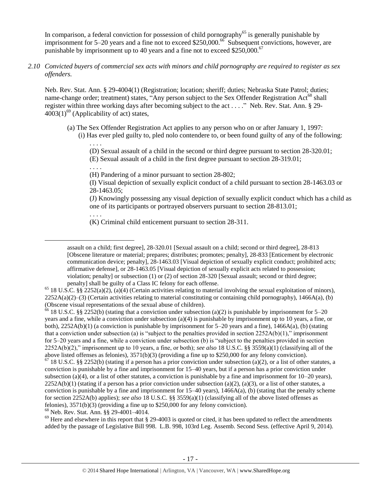In comparison, a federal conviction for possession of child pornography<sup>65</sup> is generally punishable by imprisonment for 5–20 years and a fine not to exceed \$250,000.<sup>66</sup> Subsequent convictions, however, are punishable by imprisonment up to 40 years and a fine not to exceed  $$250,000.<sup>67</sup>$ 

*2.10 Convicted buyers of commercial sex acts with minors and child pornography are required to register as sex offenders.* 

Neb. Rev. Stat. Ann. § 29-4004(1) (Registration; location; sheriff; duties; Nebraska State Patrol; duties; name-change order; treatment) states, "Any person subject to the Sex Offender Registration Act<sup>68</sup> shall register within three working days after becoming subject to the act . . . ." Neb. Rev. Stat. Ann. § 29-  $4003(1)^{69}$  (Applicability of act) states,

<span id="page-16-1"></span>(a) The Sex Offender Registration Act applies to any person who on or after January 1, 1997:

(i) Has ever pled guilty to, pled nolo contendere to, or been found guilty of any of the following: . . . .

<span id="page-16-0"></span>(D) Sexual assault of a child in the second or third degree pursuant to section 28-320.01; (E) Sexual assault of a child in the first degree pursuant to section 28-319.01;

. . . . (H) Pandering of a minor pursuant to section 28-802;

(I) Visual depiction of sexually explicit conduct of a child pursuant to section 28-1463.03 or 28-1463.05;

(J) Knowingly possessing any visual depiction of sexually explicit conduct which has a child as one of its participants or portrayed observers pursuant to section 28-813.01;

. . . .

 $\overline{\phantom{a}}$ 

(K) Criminal child enticement pursuant to section 28-311.

 $66$  18 U.S.C. §§ 2252(b) (stating that a conviction under subsection (a)(2) is punishable by imprisonment for 5–20 years and a fine, while a conviction under subsection (a)(4) is punishable by imprisonment up to 10 years, a fine, or both),  $2252A(b)(1)$  (a conviction is punishable by imprisonment for 5–20 years and a fine),  $1466A(a)$ , (b) (stating that a conviction under subsection (a) is "subject to the penalties provided in section  $2252A(b)(1)$ ," imprisonment for 5–20 years and a fine, while a conviction under subsection (b) is "subject to the penalties provided in section 2252A(b)(2)," imprisonment up to 10 years, a fine, or both); *see also* 18 U.S.C. §§ 3559(a)(1) (classifying all of the above listed offenses as felonies), 3571(b)(3) (providing a fine up to \$250,000 for any felony conviction).  $^{67}$  18 U.S.C. §§ 2252(b) (stating if a person has a prior conviction under subsection (a)(2), or a list of other statutes, a conviction is punishable by a fine and imprisonment for 15–40 years, but if a person has a prior conviction under subsection (a)(4), or a list of other statutes, a conviction is punishable by a fine and imprisonment for  $10-20$  years),  $2252A(b)(1)$  (stating if a person has a prior conviction under subsection (a)(2), (a)(3), or a list of other statutes, a conviction is punishable by a fine and imprisonment for  $15-40$  years),  $1466A(a)$ , (b) (stating that the penalty scheme for section 2252A(b) applies); *see also* 18 U.S.C. §§ 3559(a)(1) (classifying all of the above listed offenses as felonies), 3571(b)(3) (providing a fine up to \$250,000 for any felony conviction).

<sup>68</sup> Neb. Rev. Stat. Ann. §§ 29-4001–4014.

 $69$  Here and elsewhere in this report that § 29-4003 is quoted or cited, it has been updated to reflect the amendments added by the passage of Legislative Bill 998. L.B. 998, 103rd Leg. Assemb. Second Sess. (effective April 9, 2014).

assault on a child; first degree], 28-320.01 [Sexual assault on a child; second or third degree], 28-813 [Obscene literature or material; prepares; distributes; promotes; penalty], 28-833 [Enticement by electronic communication device; penalty], 28-1463.03 [Visual depiction of sexually explicit conduct; prohibited acts; affirmative defense], or 28-1463.05 [Visual depiction of sexually explicit acts related to possession; violation; penalty] or subsection (1) or (2) of section 28-320 [Sexual assault; second or third degree; penalty] shall be guilty of a Class IC felony for each offense.

<sup>&</sup>lt;sup>65</sup> 18 U.S.C. §§ 2252(a)(2), (a)(4) (Certain activities relating to material involving the sexual exploitation of minors),  $2252A(a)(2)$ –(3) (Certain activities relating to material constituting or containing child pornography), 1466A(a), (b) (Obscene visual representations of the sexual abuse of children).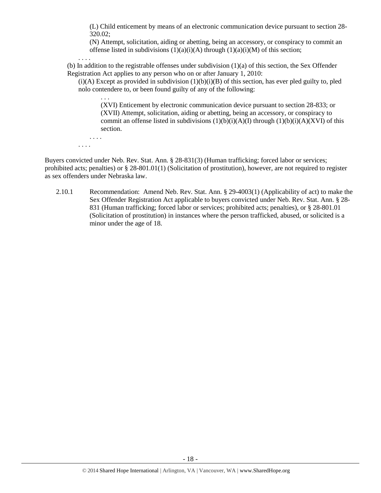(L) Child enticement by means of an electronic communication device pursuant to section 28- 320.02;

(N) Attempt, solicitation, aiding or abetting, being an accessory, or conspiracy to commit an offense listed in subdivisions  $(1)(a)(i)(A)$  through  $(1)(a)(i)(M)$  of this section;

. . . .

(b) In addition to the registrable offenses under subdivision  $(1)(a)$  of this section, the Sex Offender Registration Act applies to any person who on or after January 1, 2010:

 $(i)(A)$  Except as provided in subdivision  $(1)(b)(i)(B)$  of this section, has ever pled guilty to, pled nolo contendere to, or been found guilty of any of the following:

(XVI) Enticement by electronic communication device pursuant to section 28-833; or (XVII) Attempt, solicitation, aiding or abetting, being an accessory, or conspiracy to commit an offense listed in subdivisions  $(1)(b)(i)(A)(I)$  through  $(1)(b)(i)(A)(XVI)$  of this section.

. . . . . . . .

. . .

Buyers convicted under Neb. Rev. Stat. Ann. § 28-831(3) (Human trafficking; forced labor or services; prohibited acts; penalties) or § 28-801.01(1) (Solicitation of prostitution), however, are not required to register as sex offenders under Nebraska law.

2.10.1 Recommendation: Amend Neb. Rev. Stat. Ann. § 29-4003(1) (Applicability of act) to make the Sex Offender Registration Act applicable to buyers convicted under Neb. Rev. Stat. Ann. § 28- 831 (Human trafficking; forced labor or services; prohibited acts; penalties), or § 28-801.01 (Solicitation of prostitution) in instances where the person trafficked, abused, or solicited is a minor under the age of 18.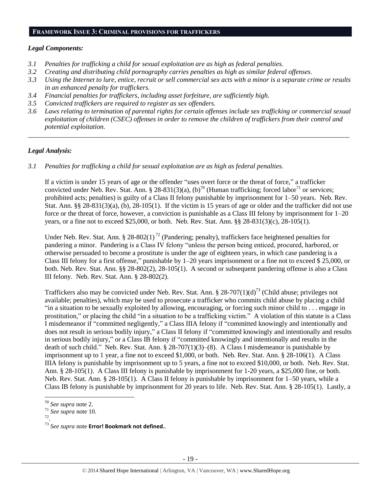#### **FRAMEWORK ISSUE 3: CRIMINAL PROVISIONS FOR TRAFFICKERS**

## *Legal Components:*

- *3.1 Penalties for trafficking a child for sexual exploitation are as high as federal penalties.*
- *3.2 Creating and distributing child pornography carries penalties as high as similar federal offenses.*
- *3.3 Using the Internet to lure, entice, recruit or sell commercial sex acts with a minor is a separate crime or results in an enhanced penalty for traffickers.*
- *3.4 Financial penalties for traffickers, including asset forfeiture, are sufficiently high.*
- *3.5 Convicted traffickers are required to register as sex offenders.*
- *3.6 Laws relating to termination of parental rights for certain offenses include sex trafficking or commercial sexual exploitation of children (CSEC) offenses in order to remove the children of traffickers from their control and potential exploitation.*

*\_\_\_\_\_\_\_\_\_\_\_\_\_\_\_\_\_\_\_\_\_\_\_\_\_\_\_\_\_\_\_\_\_\_\_\_\_\_\_\_\_\_\_\_\_\_\_\_\_\_\_\_\_\_\_\_\_\_\_\_\_\_\_\_\_\_\_\_\_\_\_\_\_\_\_\_\_\_\_\_\_\_\_\_\_\_\_\_\_\_\_\_\_\_*

# *Legal Analysis:*

*3.1 Penalties for trafficking a child for sexual exploitation are as high as federal penalties.* 

If a victim is under 15 years of age or the offender "uses overt force or the threat of force," a trafficker convicted under Neb. Rev. Stat. Ann. § 28-831(3)(a), (b)<sup>70</sup> (Human trafficking; forced labor<sup>71</sup> or services; prohibited acts; penalties) is guilty of a Class II felony punishable by imprisonment for 1–50 years. Neb. Rev. Stat. Ann. §§ 28-831(3)(a), (b), 28-105(1). If the victim is 15 years of age or older and the trafficker did not use force or the threat of force, however, a conviction is punishable as a Class III felony by imprisonment for 1–20 years, or a fine not to exceed \$25,000, or both. Neb. Rev. Stat. Ann. §§ 28-831(3)(c), 28-105(1).

Under Neb. Rev. Stat. Ann. § 28-802(1)<sup>72</sup> (Pandering; penalty), traffickers face heightened penalties for pandering a minor. Pandering is a Class IV felony "unless the person being enticed, procured, harbored, or otherwise persuaded to become a prostitute is under the age of eighteen years, in which case pandering is a Class III felony for a first offense," punishable by 1–20 years imprisonment or a fine not to exceed \$ 25,000, or both. Neb. Rev. Stat. Ann. §§ 28-802(2), 28-105(1). A second or subsequent pandering offense is also a Class III felony. Neb. Rev. Stat. Ann. § 28-802(2).

Traffickers also may be convicted under Neb. Rev. Stat. Ann. § 28-707(1)(d)<sup>73</sup> (Child abuse; privileges not available; penalties), which may be used to prosecute a trafficker who commits child abuse by placing a child "in a situation to be sexually exploited by allowing, encouraging, or forcing such minor child to . . . engage in prostitution," or placing the child "in a situation to be a trafficking victim." A violation of this statute is a Class I misdemeanor if "committed negligently," a Class IIIA felony if "committed knowingly and intentionally and does not result in serious bodily injury," a Class II felony if "committed knowingly and intentionally and results in serious bodily injury," or a Class IB felony if "committed knowingly and intentionally and results in the death of such child." Neb. Rev. Stat. Ann. § 28-707(1)(3)–(8). A Class I misdemeanor is punishable by imprisonment up to 1 year, a fine not to exceed \$1,000, or both. Neb. Rev. Stat. Ann. § 28-106(1). A Class IIIA felony is punishable by imprisonment up to 5 years, a fine not to exceed \$10,000, or both. Neb. Rev. Stat. Ann. § 28-105(1). A Class III felony is punishable by imprisonment for 1-20 years, a \$25,000 fine, or both. Neb. Rev. Stat. Ann. § 28-105(1). A Class II felony is punishable by imprisonment for 1–50 years, while a Class IB felony is punishable by imprisonment for 20 years to life. Neb. Rev. Stat. Ann. § 28-105(1). Lastly, a

- $\frac{71}{72}$  *See supra* note 10.
- .

 $\overline{a}$ 

<sup>70</sup> *See supra* note [2.](#page-0-0)

<sup>73</sup> *See supra* note **Error! Bookmark not defined.**.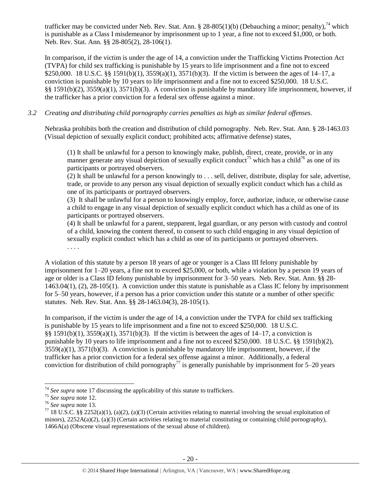trafficker may be convicted under Neb. Rev. Stat. Ann. § 28-805(1)(b) (Debauching a minor; penalty),<sup>74</sup> which is punishable as a Class I misdemeanor by imprisonment up to 1 year, a fine not to exceed \$1,000, or both. Neb. Rev. Stat. Ann. §§ 28-805(2), 28-106(1).

In comparison, if the victim is under the age of 14, a conviction under the Trafficking Victims Protection Act (TVPA) for child sex trafficking is punishable by 15 years to life imprisonment and a fine not to exceed \$250,000. 18 U.S.C. §§ 1591(b)(1), 3559(a)(1), 3571(b)(3). If the victim is between the ages of 14–17, a conviction is punishable by 10 years to life imprisonment and a fine not to exceed \$250,000. 18 U.S.C. §§ 1591(b)(2), 3559(a)(1), 3571(b)(3). A conviction is punishable by mandatory life imprisonment, however, if the trafficker has a prior conviction for a federal sex offense against a minor.

# *3.2 Creating and distributing child pornography carries penalties as high as similar federal offenses.*

Nebraska prohibits both the creation and distribution of child pornography. Neb. Rev. Stat. Ann. § 28-1463.03 (Visual depiction of sexually explicit conduct; prohibited acts; affirmative defense) states,

(1) It shall be unlawful for a person to knowingly make, publish, direct, create, provide, or in any manner generate any visual depiction of sexually explicit conduct<sup>75</sup> which has a child<sup>76</sup> as one of its participants or portrayed observers.

(2) It shall be unlawful for a person knowingly to . . . sell, deliver, distribute, display for sale, advertise, trade, or provide to any person any visual depiction of sexually explicit conduct which has a child as one of its participants or portrayed observers.

(3) It shall be unlawful for a person to knowingly employ, force, authorize, induce, or otherwise cause a child to engage in any visual depiction of sexually explicit conduct which has a child as one of its participants or portrayed observers.

(4) It shall be unlawful for a parent, stepparent, legal guardian, or any person with custody and control of a child, knowing the content thereof, to consent to such child engaging in any visual depiction of sexually explicit conduct which has a child as one of its participants or portrayed observers.

. . . .

A violation of this statute by a person 18 years of age or younger is a Class III felony punishable by imprisonment for 1–20 years, a fine not to exceed \$25,000, or both, while a violation by a person 19 years of age or older is a Class ID felony punishable by imprisonment for 3–50 years. Neb. Rev. Stat. Ann. §§ 28- 1463.04(1), (2), 28-105(1). A conviction under this statute is punishable as a Class IC felony by imprisonment for 5–50 years, however, if a person has a prior conviction under this statute or a number of other specific statutes. Neb. Rev. Stat. Ann. §§ 28-1463.04(3), 28-105(1).

In comparison, if the victim is under the age of 14, a conviction under the TVPA for child sex trafficking is punishable by 15 years to life imprisonment and a fine not to exceed \$250,000. 18 U.S.C. §§ 1591(b)(1), 3559(a)(1), 3571(b)(3). If the victim is between the ages of 14–17, a conviction is punishable by 10 years to life imprisonment and a fine not to exceed \$250,000. 18 U.S.C. §§ 1591(b)(2), 3559(a)(1), 3571(b)(3). A conviction is punishable by mandatory life imprisonment, however, if the trafficker has a prior conviction for a federal sex offense against a minor. Additionally, a federal conviction for distribution of child pornography<sup>77</sup> is generally punishable by imprisonment for 5–20 years

 $\overline{\phantom{a}}$ <sup>74</sup> See supra note [17](#page-4-0) discussing the applicability of this statute to traffickers.

<sup>75</sup> *See supra* note [12.](#page-2-0) 

<sup>76</sup> *See supra* note [13.](#page-2-2)

<sup>&</sup>lt;sup>77</sup> 18 U.S.C. §§ 2252(a)(1), (a)(2), (a)(3) (Certain activities relating to material involving the sexual exploitation of minors),  $2252A(a)(2)$ , (a)(3) (Certain activities relating to material constituting or containing child pornography), 1466A(a) (Obscene visual representations of the sexual abuse of children).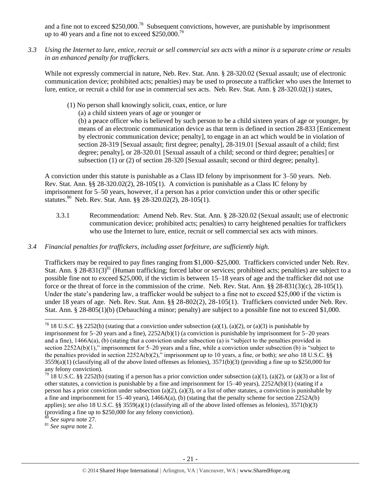and a fine not to exceed \$250,000.<sup>78</sup> Subsequent convictions, however, are punishable by imprisonment up to 40 years and a fine not to exceed  $$250,000.<sup>79</sup>$ 

*3.3 Using the Internet to lure, entice, recruit or sell commercial sex acts with a minor is a separate crime or results in an enhanced penalty for traffickers.*

While not expressly commercial in nature, Neb. Rev. Stat. Ann. § 28-320.02 (Sexual assault; use of electronic communication device; prohibited acts; penalties) may be used to prosecute a trafficker who uses the Internet to lure, entice, or recruit a child for use in commercial sex acts. Neb. Rev. Stat. Ann. § 28-320.02(1) states,

- (1) No person shall knowingly solicit, coax, entice, or lure
	- (a) a child sixteen years of age or younger or

(b) a peace officer who is believed by such person to be a child sixteen years of age or younger, by means of an electronic communication device as that term is defined in section 28-833 [Enticement by electronic communication device; penalty], to engage in an act which would be in violation of section [28-319](http://nebraskalegislature.gov/laws/statutes.php?statute=28-319) [Sexual assault; first degree; penalty], [28-319.01](http://nebraskalegislature.gov/laws/statutes.php?statute=28-319.01) [Sexual assault of a child; first degree; penalty], or [28-320.01](http://nebraskalegislature.gov/laws/statutes.php?statute=28-320.01) [Sexual assault of a child; second or third degree; penalties] or subsection (1) or (2) of section [28-320](http://nebraskalegislature.gov/laws/statutes.php?statute=28-320) [Sexual assault; second or third degree; penalty].

A conviction under this statute is punishable as a Class ID felony by imprisonment for 3–50 years. Neb. Rev. Stat. Ann. §§ 28-320.02(2), 28-105(1). A conviction is punishable as a Class IC felony by imprisonment for 5–50 years, however, if a person has a prior conviction under this or other specific statutes.<sup>80</sup> Neb. Rev. Stat. Ann. §§ 28-320.02(2), 28-105(1).

- 3.3.1 Recommendation: Amend Neb. Rev. Stat. Ann. § 28-320.02 (Sexual assault; use of electronic communication device; prohibited acts; penalties) to carry heightened penalties for traffickers who use the Internet to lure, entice, recruit or sell commercial sex acts with minors.
- *3.4 Financial penalties for traffickers, including asset forfeiture, are sufficiently high.*

Traffickers may be required to pay fines ranging from \$1,000–\$25,000. Traffickers convicted under Neb. Rev. Stat. Ann. § 28-831(3) $^{81}$  (Human trafficking; forced labor or services; prohibited acts; penalties) are subject to a possible fine not to exceed \$25,000, if the victim is between 15–18 years of age and the trafficker did not use force or the threat of force in the commission of the crime. Neb. Rev. Stat. Ann. §§ 28-831(3)(c), 28-105(1). Under the state's pandering law, a trafficker would be subject to a fine not to exceed \$25,000 if the victim is under 18 years of age. Neb. Rev. Stat. Ann. §§ 28-802(2), 28-105(1). Traffickers convicted under Neb. Rev. Stat. Ann. § 28-805(1)(b) (Debauching a minor; penalty) are subject to a possible fine not to exceed \$1,000.

See supra note 27.

l

<sup>&</sup>lt;sup>78</sup> 18 U.S.C. §§ 2252(b) (stating that a conviction under subsection (a)(1), (a)(2), or (a)(3) is punishable by imprisonment for  $5-20$  years and a fine),  $2252A(b)(1)$  (a conviction is punishable by imprisonment for  $5-20$  years and a fine),  $1466A(a)$ , (b) (stating that a conviction under subsection (a) is "subject to the penalties provided in section 2252A(b)(1)," imprisonment for 5–20 years and a fine, while a conviction under subsection (b) is "subject to the penalties provided in section 2252A(b)(2)," imprisonment up to 10 years, a fine, or both); *see also* 18 U.S.C. §§  $3559(a)(1)$  (classifying all of the above listed offenses as felonies),  $3571(b)(3)$  (providing a fine up to \$250,000 for any felony conviction).

<sup>&</sup>lt;sup>79</sup> 18 U.S.C. §§ 2252(b) (stating if a person has a prior conviction under subsection (a)(1), (a)(2), or (a)(3) or a list of other statutes, a conviction is punishable by a fine and imprisonment for 15–40 years), 2252A(b)(1) (stating if a person has a prior conviction under subsection (a)(2), (a)(3), or a list of other statutes, a conviction is punishable by a fine and imprisonment for  $15-40$  years),  $1466A(a)$ , (b) (stating that the penalty scheme for section  $2252A(b)$ applies); *see also* 18 U.S.C. §§ 3559(a)(1) (classifying all of the above listed offenses as felonies), 3571(b)(3) (providing a fine up to \$250,000 for any felony conviction).

<sup>81</sup> *See supra* note [2.](#page-0-0)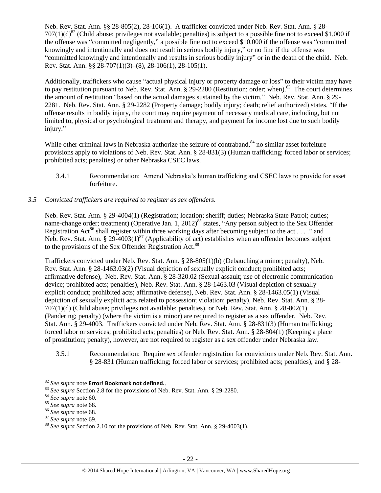Neb. Rev. Stat. Ann. §§ 28-805(2), 28-106(1). A trafficker convicted under Neb. Rev. Stat. Ann. § 28-  $707(1)(d)^{82}$  (Child abuse; privileges not available; penalties) is subject to a possible fine not to exceed \$1,000 if the offense was "committed negligently," a possible fine not to exceed \$10,000 if the offense was "committed knowingly and intentionally and does not result in serious bodily injury," or no fine if the offense was "committed knowingly and intentionally and results in serious bodily injury" or in the death of the child. Neb. Rev. Stat. Ann. §§ 28-707(1)(3)–(8), 28-106(1), 28-105(1).

Additionally, traffickers who cause "actual physical injury or property damage or loss" to their victim may have to pay restitution pursuant to Neb. Rev. Stat. Ann. § 29-2280 (Restitution; order; when).<sup>83</sup> The court determines the amount of restitution "based on the actual damages sustained by the victim." Neb. Rev. Stat. Ann. § 29- 2281. Neb. Rev. Stat. Ann. § 29-2282 (Property damage; bodily injury; death; relief authorized) states, "If the offense results in bodily injury, the court may require payment of necessary medical care, including, but not limited to, physical or psychological treatment and therapy, and payment for income lost due to such bodily injury."

While other criminal laws in Nebraska authorize the seizure of contraband,<sup>84</sup> no similar asset forfeiture provisions apply to violations of Neb. Rev. Stat. Ann. § 28-831(3) (Human trafficking; forced labor or services; prohibited acts; penalties) or other Nebraska CSEC laws.

3.4.1 Recommendation: Amend Nebraska's human trafficking and CSEC laws to provide for asset forfeiture.

# *3.5 Convicted traffickers are required to register as sex offenders.*

Neb. Rev. Stat. Ann. § 29-4004(1) (Registration; location; sheriff; duties; Nebraska State Patrol; duties; name-change order; treatment) (Operative Jan. 1, 2012)<sup>85</sup> states, "Any person subject to the Sex Offender Registration Act<sup>86</sup> shall register within three working days after becoming subject to the act . . . ." and Neb. Rev. Stat. Ann. § 29-4003(1)<sup>87</sup> (Applicability of act) establishes when an offender becomes subject to the provisions of the Sex Offender Registration Act.<sup>88</sup>

Traffickers convicted under Neb. Rev. Stat. Ann. § 28-805(1)(b) (Debauching a minor; penalty), Neb. Rev. Stat. Ann. § 28-1463.03(2) (Visual depiction of sexually explicit conduct; prohibited acts; affirmative defense), Neb. Rev. Stat. Ann. § 28-320.02 (Sexual assault; use of electronic communication device; prohibited acts; penalties), Neb. Rev. Stat. Ann. § 28-1463.03 (Visual depiction of sexually explicit conduct; prohibited acts; affirmative defense), Neb. Rev. Stat. Ann. § 28-1463.05(1) (Visual depiction of sexually explicit acts related to possession; violation; penalty), Neb. Rev. Stat. Ann. § 28- 707(1)(d) (Child abuse; privileges not available; penalties), or Neb. Rev. Stat. Ann. § 28-802(1) (Pandering; penalty) (where the victim is a minor) are required to register as a sex offender. Neb. Rev. Stat. Ann. § 29-4003. Traffickers convicted under Neb. Rev. Stat. Ann. § 28-831(3) (Human trafficking; forced labor or services; prohibited acts; penalties) or Neb. Rev. Stat. Ann. § 28-804(1) (Keeping a place of prostitution; penalty), however, are not required to register as a sex offender under Nebraska law.

3.5.1 Recommendation: Require sex offender registration for convictions under Neb. Rev. Stat. Ann. § 28-831 (Human trafficking; forced labor or services; prohibited acts; penalties), and § 28-

 $\overline{\phantom{a}}$ 

<sup>82</sup> *See supra* note **Error! Bookmark not defined.**.

<sup>83</sup> *See supra* Section 2.8 for the provisions of Neb. Rev. Stat. Ann. § 29-2280.

<sup>84</sup> *See supra* note [60.](#page-15-0) 

<sup>85</sup> *See supra* note [68.](#page-16-0) 

<sup>86</sup> *See supra* note [68.](#page-16-0) 

<sup>87</sup> *See supra* note [69.](#page-16-1) 

<sup>88</sup> *See supra* Section 2.10 for the provisions of Neb. Rev. Stat. Ann. § 29-4003(1).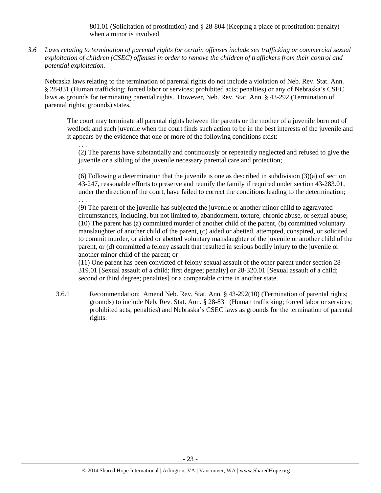801.01 (Solicitation of prostitution) and § 28-804 (Keeping a place of prostitution; penalty) when a minor is involved.

*3.6 Laws relating to termination of parental rights for certain offenses include sex trafficking or commercial sexual exploitation of children (CSEC) offenses in order to remove the children of traffickers from their control and potential exploitation.* 

Nebraska laws relating to the termination of parental rights do not include a violation of Neb. Rev. Stat. Ann. § 28-831 (Human trafficking; forced labor or services; prohibited acts; penalties) or any of Nebraska's CSEC laws as grounds for terminating parental rights. However, Neb. Rev. Stat. Ann. § 43-292 (Termination of parental rights; grounds) states,

. . .

. . .

The court may terminate all parental rights between the parents or the mother of a juvenile born out of wedlock and such juvenile when the court finds such action to be in the best interests of the juvenile and it appears by the evidence that one or more of the following conditions exist:

(2) The parents have substantially and continuously or repeatedly neglected and refused to give the juvenile or a sibling of the juvenile necessary parental care and protection;

(6) Following a determination that the juvenile is one as described in subdivision  $(3)(a)$  of section 43-247, reasonable efforts to preserve and reunify the family if required under section 43-283.01, under the direction of the court, have failed to correct the conditions leading to the determination; . . .

(9) The parent of the juvenile has subjected the juvenile or another minor child to aggravated circumstances, including, but not limited to, abandonment, torture, chronic abuse, or sexual abuse; (10) The parent has (a) committed murder of another child of the parent, (b) committed voluntary manslaughter of another child of the parent, (c) aided or abetted, attempted, conspired, or solicited to commit murder, or aided or abetted voluntary manslaughter of the juvenile or another child of the parent, or (d) committed a felony assault that resulted in serious bodily injury to the juvenile or another minor child of the parent; or

(11) One parent has been convicted of felony sexual assault of the other parent under section 28- 319.01 [Sexual assault of a child; first degree; penalty] or 28-320.01 [Sexual assault of a child; second or third degree; penalties] or a comparable crime in another state.

3.6.1 Recommendation: Amend Neb. Rev. Stat. Ann. § 43-292(10) (Termination of parental rights; grounds) to include Neb. Rev. Stat. Ann. § 28-831 (Human trafficking; forced labor or services; prohibited acts; penalties) and Nebraska's CSEC laws as grounds for the termination of parental rights.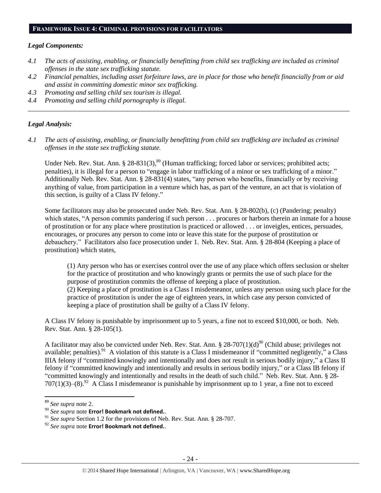#### **FRAMEWORK ISSUE 4: CRIMINAL PROVISIONS FOR FACILITATORS**

#### *Legal Components:*

- *4.1 The acts of assisting, enabling, or financially benefitting from child sex trafficking are included as criminal offenses in the state sex trafficking statute.*
- *4.2 Financial penalties, including asset forfeiture laws, are in place for those who benefit financially from or aid and assist in committing domestic minor sex trafficking.*

*\_\_\_\_\_\_\_\_\_\_\_\_\_\_\_\_\_\_\_\_\_\_\_\_\_\_\_\_\_\_\_\_\_\_\_\_\_\_\_\_\_\_\_\_\_\_\_\_\_\_\_\_\_\_\_\_\_\_\_\_\_\_\_\_\_\_\_\_\_\_\_\_\_\_\_\_\_\_\_\_\_\_\_\_\_\_\_\_\_\_\_\_\_\_*

- *4.3 Promoting and selling child sex tourism is illegal.*
- *4.4 Promoting and selling child pornography is illegal.*

#### *Legal Analysis:*

*4.1 The acts of assisting, enabling, or financially benefitting from child sex trafficking are included as criminal offenses in the state sex trafficking statute.*

Under Neb. Rev. Stat. Ann. § 28-831(3),<sup>89</sup> (Human trafficking; forced labor or services; prohibited acts; penalties), it is illegal for a person to "engage in labor trafficking of a minor or sex trafficking of a minor." Additionally Neb. Rev. Stat. Ann. § 28-831(4) states, "any person who benefits, financially or by receiving anything of value, from participation in a venture which has, as part of the venture, an act that is violation of this section, is guilty of a Class IV felony."

Some facilitators may also be prosecuted under Neb. Rev. Stat. Ann. § 28-802(b), (c) (Pandering; penalty) which states, "A person commits pandering if such person . . . procures or harbors therein an inmate for a house of prostitution or for any place where prostitution is practiced or allowed . . . or inveigles, entices, persuades, encourages, or procures any person to come into or leave this state for the purpose of prostitution or debauchery." Facilitators also face prosecution under 1. Neb. Rev. Stat. Ann. § 28-804 (Keeping a place of prostitution) which states,

(1) Any person who has or exercises control over the use of any place which offers seclusion or shelter for the practice of prostitution and who knowingly grants or permits the use of such place for the purpose of prostitution commits the offense of keeping a place of prostitution. (2) Keeping a place of prostitution is a Class I misdemeanor, unless any person using such place for the practice of prostitution is under the age of eighteen years, in which case any person convicted of keeping a place of prostitution shall be guilty of a Class IV felony.

A Class IV felony is punishable by imprisonment up to 5 years, a fine not to exceed \$10,000, or both. Neb. Rev. Stat. Ann. § 28-105(1).

A facilitator may also be convicted under Neb. Rev. Stat. Ann. § 28-707(1)(d)<sup>90</sup> (Child abuse; privileges not available; penalties).<sup>91</sup> A violation of this statute is a Class I misdemeanor if "committed negligently," a Class IIIA felony if "committed knowingly and intentionally and does not result in serious bodily injury," a Class II felony if "committed knowingly and intentionally and results in serious bodily injury," or a Class IB felony if "committed knowingly and intentionally and results in the death of such child." Neb. Rev. Stat. Ann. § 28-  $707(1)(3)$ – $(8)$ .<sup>92</sup> A Class I misdemeanor is punishable by imprisonment up to 1 year, a fine not to exceed

 $\overline{a}$ 

<sup>89</sup> *See supra* note [2.](#page-0-0)

<sup>90</sup> *See supra* note **Error! Bookmark not defined.**.

<sup>&</sup>lt;sup>91</sup> *See supra* Section 1.2 for the provisions of Neb. Rev. Stat. Ann. § 28-707.

<sup>92</sup> *See supra* note **Error! Bookmark not defined.**.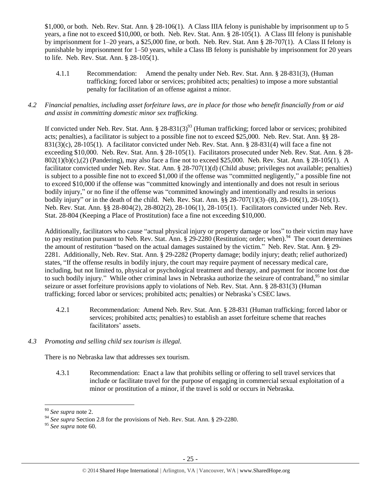\$1,000, or both. Neb. Rev. Stat. Ann. § 28-106(1). A Class IIIA felony is punishable by imprisonment up to 5 years, a fine not to exceed \$10,000, or both. Neb. Rev. Stat. Ann. § 28-105(1). A Class III felony is punishable by imprisonment for 1–20 years, a \$25,000 fine, or both. Neb. Rev. Stat. Ann § 28-707(1). A Class II felony is punishable by imprisonment for 1–50 years, while a Class IB felony is punishable by imprisonment for 20 years to life. Neb. Rev. Stat. Ann. § 28-105(1).

4.1.1 Recommendation: Amend the penalty under Neb. Rev. Stat. Ann. § 28-831(3), (Human trafficking; forced labor or services; prohibited acts; penalties) to impose a more substantial penalty for facilitation of an offense against a minor.

# *4.2 Financial penalties, including asset forfeiture laws, are in place for those who benefit financially from or aid and assist in committing domestic minor sex trafficking.*

If convicted under Neb. Rev. Stat. Ann. § 28-831(3)<sup>93</sup> (Human trafficking; forced labor or services; prohibited acts; penalties), a facilitator is subject to a possible fine not to exceed \$25,000. Neb. Rev. Stat. Ann. §§ 28- 831(3)(c), 28-105(1). A facilitator convicted under Neb. Rev. Stat. Ann. § 28-831(4) will face a fine not exceeding \$10,000. Neb. Rev. Stat. Ann. § 28-105(1). Facilitators prosecuted under Neb. Rev. Stat. Ann. § 28- 802(1)(b)(c),(2) (Pandering), may also face a fine not to exceed \$25,000. Neb. Rev. Stat. Ann. § 28-105(1). A facilitator convicted under Neb. Rev. Stat. Ann. § 28-707(1)(d) (Child abuse; privileges not available; penalties) is subject to a possible fine not to exceed \$1,000 if the offense was "committed negligently," a possible fine not to exceed \$10,000 if the offense was "committed knowingly and intentionally and does not result in serious bodily injury," or no fine if the offense was "committed knowingly and intentionally and results in serious bodily injury" or in the death of the child. Neb. Rev. Stat. Ann. §§ 28-707(1)(3)–(8), 28-106(1), 28-105(1). Neb. Rev. Stat. Ann. §§ 28-804(2), 28-802(2), 28-106(1), 28-105(1). Facilitators convicted under Neb. Rev. Stat. 28-804 (Keeping a Place of Prostitution) face a fine not exceeding \$10,000.

Additionally, facilitators who cause "actual physical injury or property damage or loss" to their victim may have to pay restitution pursuant to Neb. Rev. Stat. Ann. § 29-2280 (Restitution; order; when).<sup>94</sup> The court determines the amount of restitution "based on the actual damages sustained by the victim." Neb. Rev. Stat. Ann. § 29- 2281. Additionally, Neb. Rev. Stat. Ann. § 29-2282 (Property damage; bodily injury; death; relief authorized) states, "If the offense results in bodily injury, the court may require payment of necessary medical care, including, but not limited to, physical or psychological treatment and therapy, and payment for income lost due to such bodily injury." While other criminal laws in Nebraska authorize the seizure of contraband,<sup>95</sup> no similar seizure or asset forfeiture provisions apply to violations of Neb. Rev. Stat. Ann. § 28-831(3) (Human trafficking; forced labor or services; prohibited acts; penalties) or Nebraska's CSEC laws.

- 4.2.1 Recommendation: Amend Neb. Rev. Stat. Ann. § 28-831 (Human trafficking; forced labor or services; prohibited acts; penalties) to establish an asset forfeiture scheme that reaches facilitators' assets.
- *4.3 Promoting and selling child sex tourism is illegal.*

There is no Nebraska law that addresses sex tourism.

4.3.1 Recommendation: Enact a law that prohibits selling or offering to sell travel services that include or facilitate travel for the purpose of engaging in commercial sexual exploitation of a minor or prostitution of a minor, if the travel is sold or occurs in Nebraska.

 $\overline{\phantom{a}}$ 

<sup>93</sup> *See supra* note [2.](#page-0-0)

<sup>&</sup>lt;sup>94</sup> See supra Section 2.8 for the provisions of Neb. Rev. Stat. Ann. § 29-2280.

<sup>95</sup> *See supra* note [60.](#page-15-0)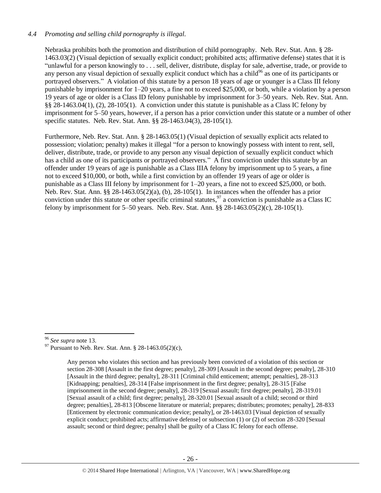# *4.4 Promoting and selling child pornography is illegal.*

Nebraska prohibits both the promotion and distribution of child pornography. Neb. Rev. Stat. Ann. § 28- 1463.03(2) (Visual depiction of sexually explicit conduct; prohibited acts; affirmative defense) states that it is "unlawful for a person knowingly to . . . sell, deliver, distribute, display for sale, advertise, trade, or provide to any person any visual depiction of sexually explicit conduct which has a child<sup>96</sup> as one of its participants or portrayed observers." A violation of this statute by a person 18 years of age or younger is a Class III felony punishable by imprisonment for 1–20 years, a fine not to exceed \$25,000, or both, while a violation by a person 19 years of age or older is a Class ID felony punishable by imprisonment for 3–50 years. Neb. Rev. Stat. Ann. §§ 28-1463.04(1), (2), 28-105(1). A conviction under this statute is punishable as a Class IC felony by imprisonment for 5–50 years, however, if a person has a prior conviction under this statute or a number of other specific statutes. Neb. Rev. Stat. Ann. §§ 28-1463.04(3), 28-105(1).

Furthermore, Neb. Rev. Stat. Ann. § 28-1463.05(1) (Visual depiction of sexually explicit acts related to possession; violation; penalty) makes it illegal "for a person to knowingly possess with intent to rent, sell, deliver, distribute, trade, or provide to any person any visual depiction of sexually explicit conduct which has a child as one of its participants or portrayed observers." A first conviction under this statute by an offender under 19 years of age is punishable as a Class IIIA felony by imprisonment up to 5 years, a fine not to exceed \$10,000, or both, while a first conviction by an offender 19 years of age or older is punishable as a Class III felony by imprisonment for 1–20 years, a fine not to exceed \$25,000, or both. Neb. Rev. Stat. Ann. §§ 28-1463.05(2)(a), (b), 28-105(1). In instances when the offender has a prior conviction under this statute or other specific criminal statutes,  $97$  a conviction is punishable as a Class IC felony by imprisonment for 5–50 years. Neb. Rev. Stat. Ann.  $\S$ § 28-1463.05(2)(c), 28-105(1).

 $\overline{\phantom{a}}$ 

<sup>96</sup> *See supra* note [13.](#page-2-2)

 $^{97}$  Pursuant to Neb. Rev. Stat. Ann. § 28-1463.05(2)(c),

Any person who violates this section and has previously been convicted of a violation of this section or section 28-308 [Assault in the first degree; penalty], 28-309 [Assault in the second degree; penalty], 28-310 [Assault in the third degree; penalty], 28-311 [Criminal child enticement; attempt; penalties], 28-313 [Kidnapping; penalties], 28-314 [False imprisonment in the first degree; penalty], 28-315 [False imprisonment in the second degree; penalty], 28-319 [Sexual assault; first degree; penalty], 28-319.01 [Sexual assault of a child; first degree; penalty], 28-320.01 [Sexual assault of a child; second or third degree; penalties], 28-813 [Obscene literature or material; prepares; distributes; promotes; penalty], 28-833 [Enticement by electronic communication device; penalty], or 28-1463.03 [Visual depiction of sexually explicit conduct; prohibited acts; affirmative defense] or subsection (1) or (2) of section 28-320 [Sexual assault; second or third degree; penalty] shall be guilty of a Class IC felony for each offense.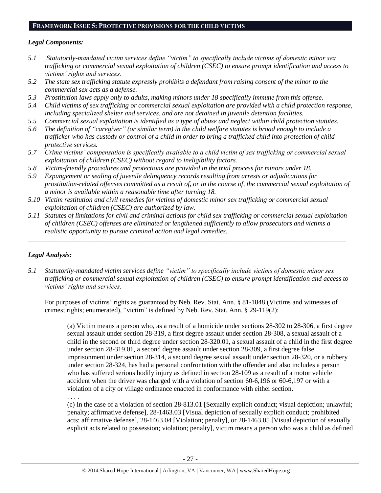# **FRAMEWORK ISSUE 5: PROTECTIVE PROVISIONS FOR THE CHILD VICTIMS**

# *Legal Components:*

- *5.1 Statutorily-mandated victim services define "victim" to specifically include victims of domestic minor sex trafficking or commercial sexual exploitation of children (CSEC) to ensure prompt identification and access to victims' rights and services.*
- *5.2 The state sex trafficking statute expressly prohibits a defendant from raising consent of the minor to the commercial sex acts as a defense.*
- *5.3 Prostitution laws apply only to adults, making minors under 18 specifically immune from this offense.*
- *5.4 Child victims of sex trafficking or commercial sexual exploitation are provided with a child protection response, including specialized shelter and services, and are not detained in juvenile detention facilities.*
- *5.5 Commercial sexual exploitation is identified as a type of abuse and neglect within child protection statutes.*
- *5.6 The definition of "caregiver" (or similar term) in the child welfare statutes is broad enough to include a trafficker who has custody or control of a child in order to bring a trafficked child into protection of child protective services.*
- *5.7 Crime victims' compensation is specifically available to a child victim of sex trafficking or commercial sexual exploitation of children (CSEC) without regard to ineligibility factors.*
- *5.8 Victim-friendly procedures and protections are provided in the trial process for minors under 18.*
- *5.9 Expungement or sealing of juvenile delinquency records resulting from arrests or adjudications for prostitution-related offenses committed as a result of, or in the course of, the commercial sexual exploitation of a minor is available within a reasonable time after turning 18.*
- *5.10 Victim restitution and civil remedies for victims of domestic minor sex trafficking or commercial sexual exploitation of children (CSEC) are authorized by law.*
- *5.11 Statutes of limitations for civil and criminal actions for child sex trafficking or commercial sexual exploitation of children (CSEC) offenses are eliminated or lengthened sufficiently to allow prosecutors and victims a realistic opportunity to pursue criminal action and legal remedies.*

*\_\_\_\_\_\_\_\_\_\_\_\_\_\_\_\_\_\_\_\_\_\_\_\_\_\_\_\_\_\_\_\_\_\_\_\_\_\_\_\_\_\_\_\_\_\_\_\_\_\_\_\_\_\_\_\_\_\_\_\_\_\_\_\_\_\_\_\_\_\_\_\_\_\_\_\_\_\_\_\_\_\_\_\_\_\_\_\_\_\_\_\_\_*

# *Legal Analysis:*

*5.1 Statutorily-mandated victim services define "victim" to specifically include victims of domestic minor sex trafficking or commercial sexual exploitation of children (CSEC) to ensure prompt identification and access to victims' rights and services.*

For purposes of victims' rights as guaranteed by Neb. Rev. Stat. Ann. § 81-1848 (Victims and witnesses of crimes; rights; enumerated), "victim" is defined by Neb. Rev. Stat. Ann. § 29-119(2):

(a) Victim means a person who, as a result of a homicide under sections 28-302 to 28-306, a first degree sexual assault under section 28-319, a first degree assault under section 28-308, a sexual assault of a child in the second or third degree under section 28-320.01, a sexual assault of a child in the first degree under section 28-319.01, a second degree assault under section 28-309, a first degree false imprisonment under section 28-314, a second degree sexual assault under section 28-320, or a robbery under section 28-324, has had a personal confrontation with the offender and also includes a person who has suffered serious bodily injury as defined in section 28-109 as a result of a motor vehicle accident when the driver was charged with a violation of section 60-6,196 or 60-6,197 or with a violation of a city or village ordinance enacted in conformance with either section.

. . . . (c) In the case of a violation of section 28-813.01 [Sexually explicit conduct; visual depiction; unlawful; penalty; affirmative defense], 28-1463.03 [Visual depiction of sexually explicit conduct; prohibited acts; affirmative defense], 28-1463.04 [Violation; penalty], or 28-1463.05 [Visual depiction of sexually explicit acts related to possession; violation; penalty], victim means a person who was a child as defined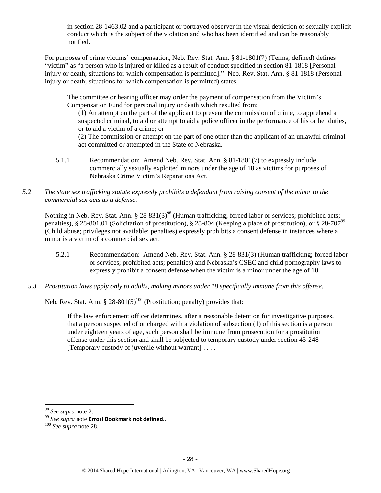in section 28-1463.02 and a participant or portrayed observer in the visual depiction of sexually explicit conduct which is the subject of the violation and who has been identified and can be reasonably notified.

For purposes of crime victims' compensation, Neb. Rev. Stat. Ann. § 81-1801(7) (Terms, defined) defines "victim" as "a person who is injured or killed as a result of conduct specified in section 81-1818 [Personal injury or death; situations for which compensation is permitted]." Neb. Rev. Stat. Ann. § 81-1818 (Personal injury or death; situations for which compensation is permitted) states,

The committee or hearing officer may order the payment of compensation from the Victim's Compensation Fund for personal injury or death which resulted from:

(1) An attempt on the part of the applicant to prevent the commission of crime, to apprehend a suspected criminal, to aid or attempt to aid a police officer in the performance of his or her duties, or to aid a victim of a crime; or

(2) The commission or attempt on the part of one other than the applicant of an unlawful criminal act committed or attempted in the State of Nebraska.

- 5.1.1 Recommendation: Amend Neb. Rev. Stat. Ann. § 81-1801(7) to expressly include commercially sexually exploited minors under the age of 18 as victims for purposes of Nebraska Crime Victim's Reparations Act.
- *5.2 The state sex trafficking statute expressly prohibits a defendant from raising consent of the minor to the commercial sex acts as a defense.*

Nothing in Neb. Rev. Stat. Ann. § 28-831(3)<sup>98</sup> (Human trafficking; forced labor or services; prohibited acts; penalties), § 28-801.01 (Solicitation of prostitution), § 28-804 (Keeping a place of prostitution), or § 28-707<sup>99</sup> (Child abuse; privileges not available; penalties) expressly prohibits a consent defense in instances where a minor is a victim of a commercial sex act.

- 5.2.1 Recommendation: Amend Neb. Rev. Stat. Ann. § 28-831(3) (Human trafficking; forced labor or services; prohibited acts; penalties) and Nebraska's CSEC and child pornography laws to expressly prohibit a consent defense when the victim is a minor under the age of 18.
- *5.3 Prostitution laws apply only to adults, making minors under 18 specifically immune from this offense.*

Neb. Rev. Stat. Ann.  $\S 28-801(5)^{100}$  (Prostitution; penalty) provides that:

If the law enforcement officer determines, after a reasonable detention for investigative purposes, that a person suspected of or charged with a violation of subsection (1) of this section is a person under eighteen years of age, such person shall be immune from prosecution for a prostitution offense under this section and shall be subjected to temporary custody under section 43-248 [Temporary custody of juvenile without warrant] . . . .

 $\overline{\phantom{a}}$ 

<sup>98</sup> *See supra* note [2.](#page-0-0)

<sup>99</sup> *See supra* note **Error! Bookmark not defined.**.

<sup>100</sup> *See supra* not[e 28.](#page-7-0)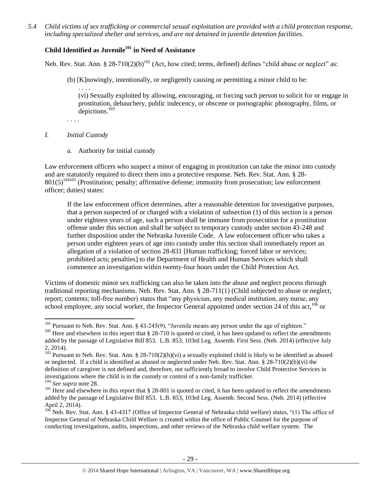*5.4 Child victims of sex trafficking or commercial sexual exploitation are provided with a child protection response, including specialized shelter and services, and are not detained in juvenile detention facilities.*

# **Child Identified as Juvenile<sup>101</sup> in Need of Assistance**

Neb. Rev. Stat. Ann. § 28-710(2)(b)<sup>102</sup> (Act, how cited; terms, defined) defines "child abuse or neglect" as:

(b) [K]nowingly, intentionally, or negligently causing or permitting a minor child to be:

<span id="page-28-0"></span>. . . . (vi) Sexually exploited by allowing, encouraging, or forcing such person to solicit for or engage in prostitution, debauchery, public indecency, or obscene or pornographic photography, films, or depictions.<sup>103</sup>

- . . . .
- *I. Initial Custody*
	- a. Authority for initial custody

Law enforcement officers who suspect a minor of engaging in prostitution can take the minor into custody and are statutorily required to direct them into a protective response. Neb. Rev. Stat. Ann. § 28- 801(5)<sup>104105</sup> (Prostitution; penalty; affirmative defense; immunity from prosecution; law enforcement officer; duties) states:

If the law enforcement officer determines, after a reasonable detention for investigative purposes, that a person suspected of or charged with a violation of subsection (1) of this section is a person under eighteen years of age, such a person shall be immune from prosecution for a prostitution offense under this section and shall be subject to temporary custody under section 43-248 and further disposition under the Nebraska Juvenile Code. A law enforcement officer who takes a person under eighteen years of age into custody under this section shall immediately report an allegation of a violation of section 28-831 [Human trafficking; forced labor or services; prohibited acts; penalties] to the Department of Health and Human Services which shall commence an investigation within twenty-four hours under the Child Protection Act.

Victims of domestic minor sex trafficking can also be taken into the abuse and neglect process through traditional reporting mechanisms. Neb. Rev. Stat. Ann. § 28-711(1) (Child subjected to abuse or neglect; report; contents; toll-free number) states that "any physician, any medical institution, any nurse, any school employee, any social worker, the Inspector General appointed under section 24 of this act, $106$  or

l  $101$  Pursuant to Neb. Rev. Stat. Ann. § 43-245(9), "Juvenile means any person under the age of eighteen."

<sup>&</sup>lt;sup>102</sup> Here and elsewhere in this report that  $\S 28-710$  is quoted or cited, it has been updated to reflect the amendments added by the passage of Legislative Bill 853. L.B. 853, 103rd Leg. Assemb. First Sess. (Neb. 2014) (effective July 2, 2014).

<sup>&</sup>lt;sup>103</sup> Pursuant to Neb. Rev. Stat. Ann. § 28-710(2)(b)(vi) a sexually exploited child is likely to be identified as abused or neglected. If a child is identified as abused or neglected under Neb. Rev. Stat. Ann. § 28-710(2)(b)(vi) the definition of caregiver is not defined and, therefore, not sufficiently broad to involve Child Protective Services in investigations where the child is in the custody or control of a non-family trafficker.

<sup>104</sup> *See supra* not[e 28.](#page-7-0)

 $105$  Here and elsewhere in this report that § 28-801 is quoted or cited, it has been updated to reflect the amendments added by the passage of Legislative Bill 853. L.B. 853, 103rd Leg. Assemb. Second Sess. (Neb. 2014) (effective April 2, 2014).

 $106$  Neb. Rev. Stat. Ann. § 43-4317 (Office of Inspector General of Nebraska child welfare) states, "(1) The office of Inspector General of Nebraska Child Welfare is created within the office of Public Counsel for the purpose of conducting investigations, audits, inspections, and other reviews of the Nebraska child welfare system. The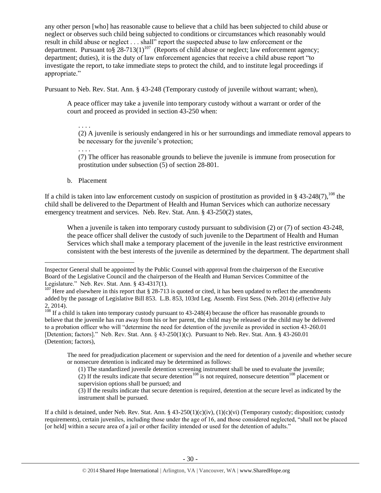any other person [who] has reasonable cause to believe that a child has been subjected to child abuse or neglect or observes such child being subjected to conditions or circumstances which reasonably would result in child abuse or neglect . . . shall" report the suspected abuse to law enforcement or the department. Pursuant to§  $28-713(1)^{107}$  (Reports of child abuse or neglect; law enforcement agency; department; duties), it is the duty of law enforcement agencies that receive a child abuse report "to investigate the report, to take immediate steps to protect the child, and to institute legal proceedings if appropriate."

Pursuant to Neb. Rev. Stat. Ann. § 43-248 (Temporary custody of juvenile without warrant; when),

A peace officer may take a juvenile into temporary custody without a warrant or order of the court and proceed as provided in section 43-250 when:

. . . .

(2) A juvenile is seriously endangered in his or her surroundings and immediate removal appears to be necessary for the juvenile's protection;

. . . .

(7) The officer has reasonable grounds to believe the juvenile is immune from prosecution for prostitution under subsection (5) of section 28-801.

b. Placement

 $\overline{a}$ 

If a child is taken into law enforcement custody on suspicion of prostitution as provided in § 43-248(7),  $^{108}$  the child shall be delivered to the Department of Health and Human Services which can authorize necessary emergency treatment and services. Neb. Rev. Stat. Ann. § 43-250(2) states,

When a juvenile is taken into temporary custody pursuant to subdivision (2) or (7) of section 43-248, the peace officer shall deliver the custody of such juvenile to the Department of Health and Human Services which shall make a temporary placement of the juvenile in the least restrictive environment consistent with the best interests of the juvenile as determined by the department. The department shall

 $\frac{108}{108}$  If a child is taken into temporary custody pursuant to 43-248(4) because the officer has reasonable grounds to believe that the juvenile has run away from his or her parent, the child may be released or the child may be delivered to a probation officer who will "determine the need for detention of the juvenile as provided in section 43-260.01 [Detention; factors]." Neb. Rev. Stat. Ann. § 43-250(1)(c). Pursuant to Neb. Rev. Stat. Ann. § 43-260.01 (Detention; factors),

The need for preadjudication placement or supervision and the need for detention of a juvenile and whether secure or nonsecure detention is indicated may be determined as follows:

(2) If the results indicate that secure detention<sup>108</sup> is not required, nonsecure detention<sup>108</sup> placement or supervision options shall be pursued; and

(3) If the results indicate that secure detention is required, detention at the secure level as indicated by the instrument shall be pursued.

If a child is detained, under Neb. Rev. Stat. Ann. §  $43-250(1)(c)(iv)$ ,  $(1)(c)(vi)$  (Temporary custody; disposition; custody requirements), certain juveniles, including those under the age of 16, and those considered neglected, "shall not be placed [or held] within a secure area of a jail or other facility intended or used for the detention of adults."

Inspector General shall be appointed by the Public Counsel with approval from the chairperson of the Executive Board of the Legislative Council and the chairperson of the Health and Human Services Committee of the Legislature." Neb. Rev. Stat. Ann. § 43-4317(1).

<sup>&</sup>lt;sup>107</sup> Here and elsewhere in this report that § 28-713 is quoted or cited, it has been updated to reflect the amendments added by the passage of Legislative Bill 853. L.B. 853, 103rd Leg. Assemb. First Sess. (Neb. 2014) (effective July 2, 2014).

<sup>(1)</sup> The standardized juvenile detention screening instrument shall be used to evaluate the juvenile;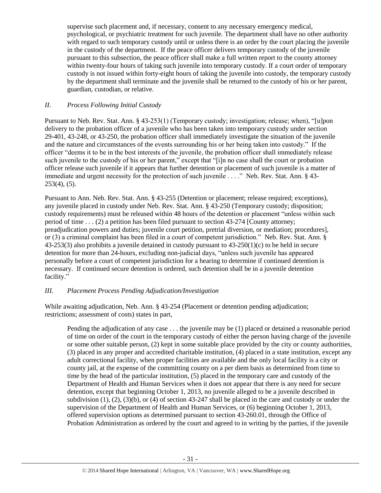supervise such placement and, if necessary, consent to any necessary emergency medical, psychological, or psychiatric treatment for such juvenile. The department shall have no other authority with regard to such temporary custody until or unless there is an order by the court placing the juvenile in the custody of the department. If the peace officer delivers temporary custody of the juvenile pursuant to this subsection, the peace officer shall make a full written report to the county attorney within twenty-four hours of taking such juvenile into temporary custody. If a court order of temporary custody is not issued within forty-eight hours of taking the juvenile into custody, the temporary custody by the department shall terminate and the juvenile shall be returned to the custody of his or her parent, guardian, custodian, or relative.

# *II. Process Following Initial Custody*

Pursuant to Neb. Rev. Stat. Ann. § 43-253(1) (Temporary custody; investigation; release; when), "[u]pon delivery to the probation officer of a juvenile who has been taken into temporary custody under section 29-401, 43-248, or 43-250, the probation officer shall immediately investigate the situation of the juvenile and the nature and circumstances of the events surrounding his or her being taken into custody." If the officer "deems it to be in the best interests of the juvenile, the probation officer shall immediately release such juvenile to the custody of his or her parent," except that "[i]n no case shall the court or probation officer release such juvenile if it appears that further detention or placement of such juvenile is a matter of immediate and urgent necessity for the protection of such juvenile . . . ." Neb. Rev. Stat. Ann. § 43- 253(4), (5).

Pursuant to Ann. Neb. Rev. Stat. Ann. § 43-255 (Detention or placement; release required; exceptions), any juvenile placed in custody under Neb. Rev. Stat. Ann. § 43-250 (Temporary custody; disposition; custody requirements) must be released within 48 hours of the detention or placement "unless within such period of time . . . (2) a petition has been filed pursuant to section 43-274 [County attorney; preadjudication powers and duties; juvenile court petition, pretrial diversion, or mediation; procedures], or (3) a criminal complaint has been filed in a court of competent jurisdiction." Neb. Rev. Stat. Ann. § 43-253(3) also prohibits a juvenile detained in custody pursuant to 43-250(1)(c) to be held in secure detention for more than 24-hours, excluding non-judicial days, "unless such juvenile has appeared personally before a court of competent jurisdiction for a hearing to determine if continued detention is necessary. If continued secure detention is ordered, such detention shall be in a juvenile detention facility."

## *III. Placement Process Pending Adjudication/Investigation*

While awaiting adjudication, Neb. Ann. § 43-254 (Placement or detention pending adjudication; restrictions; assessment of costs) states in part,

Pending the adjudication of any case . . . the juvenile may be (1) placed or detained a reasonable period of time on order of the court in the temporary custody of either the person having charge of the juvenile or some other suitable person, (2) kept in some suitable place provided by the city or county authorities, (3) placed in any proper and accredited charitable institution, (4) placed in a state institution, except any adult correctional facility, when proper facilities are available and the only local facility is a city or county jail, at the expense of the committing county on a per diem basis as determined from time to time by the head of the particular institution, (5) placed in the temporary care and custody of the Department of Health and Human Services when it does not appear that there is any need for secure detention, except that beginning October 1, 2013, no juvenile alleged to be a juvenile described in subdivision (1), (2), (3)(b), or (4) of section 43-247 shall be placed in the care and custody or under the supervision of the Department of Health and Human Services, or (6) beginning October 1, 2013, offered supervision options as determined pursuant to section 43-260.01, through the Office of Probation Administration as ordered by the court and agreed to in writing by the parties, if the juvenile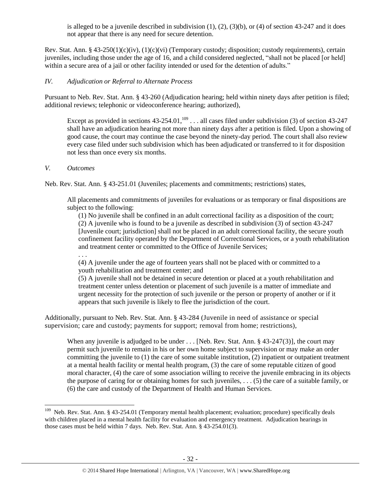is alleged to be a juvenile described in subdivision  $(1)$ ,  $(2)$ ,  $(3)(b)$ , or  $(4)$  of section 43-247 and it does not appear that there is any need for secure detention.

Rev. Stat. Ann. §  $43-250(1)(c)(iv)$ ,  $(1)(c)(vi)$  (Temporary custody; disposition; custody requirements), certain juveniles, including those under the age of 16, and a child considered neglected, "shall not be placed [or held] within a secure area of a jail or other facility intended or used for the detention of adults."

# *IV. Adjudication or Referral to Alternate Process*

Pursuant to Neb. Rev. Stat. Ann. § 43-260 (Adjudication hearing; held within ninety days after petition is filed; additional reviews; telephonic or videoconference hearing; authorized),

Except as provided in sections  $43-254.01$ ,  $^{109}$  . . . all cases filed under subdivision (3) of section 43-247 shall have an adjudication hearing not more than ninety days after a petition is filed. Upon a showing of good cause, the court may continue the case beyond the ninety-day period. The court shall also review every case filed under such subdivision which has been adjudicated or transferred to it for disposition not less than once every six months.

# *V. Outcomes*

. . .

Neb. Rev. Stat. Ann. § 43-251.01 (Juveniles; placements and commitments; restrictions) states,

All placements and commitments of juveniles for evaluations or as temporary or final dispositions are subject to the following:

(1) No juvenile shall be confined in an adult correctional facility as a disposition of the court; (2) A juvenile who is found to be a juvenile as described in subdivision (3) of section 43-247 [Juvenile court; jurisdiction] shall not be placed in an adult correctional facility, the secure youth confinement facility operated by the Department of Correctional Services, or a youth rehabilitation and treatment center or committed to the Office of Juvenile Services;

(4) A juvenile under the age of fourteen years shall not be placed with or committed to a youth rehabilitation and treatment center; and

(5) A juvenile shall not be detained in secure detention or placed at a youth rehabilitation and treatment center unless detention or placement of such juvenile is a matter of immediate and urgent necessity for the protection of such juvenile or the person or property of another or if it appears that such juvenile is likely to flee the jurisdiction of the court.

Additionally, pursuant to Neb. Rev. Stat. Ann. § 43-284 (Juvenile in need of assistance or special supervision; care and custody; payments for support; removal from home; restrictions),

When any juvenile is adjudged to be under . . . [Neb. Rev. Stat. Ann. § 43-247(3)], the court may permit such juvenile to remain in his or her own home subject to supervision or may make an order committing the juvenile to  $(1)$  the care of some suitable institution,  $(2)$  inpatient or outpatient treatment at a mental health facility or mental health program, (3) the care of some reputable citizen of good moral character, (4) the care of some association willing to receive the juvenile embracing in its objects the purpose of caring for or obtaining homes for such juveniles, . . . (5) the care of a suitable family, or (6) the care and custody of the Department of Health and Human Services.

 109 Neb. Rev. Stat. Ann. § 43-254.01 (Temporary mental health placement; evaluation; procedure) specifically deals with children placed in a mental health facility for evaluation and emergency treatment. Adjudication hearings in those cases must be held within 7 days. Neb. Rev. Stat. Ann. § 43-254.01(3).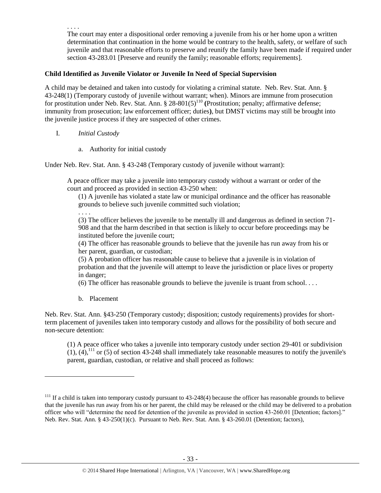The court may enter a dispositional order removing a juvenile from his or her home upon a written determination that continuation in the home would be contrary to the health, safety, or welfare of such juvenile and that reasonable efforts to preserve and reunify the family have been made if required under section 43-283.01 [Preserve and reunify the family; reasonable efforts; requirements].

# **Child Identified as Juvenile Violator or Juvenile In Need of Special Supervision**

A child may be detained and taken into custody for violating a criminal statute. Neb. Rev. Stat. Ann. § 43-248(1) (Temporary custody of juvenile without warrant; when). Minors are immune from prosecution for prostitution under Neb. Rev. Stat. Ann. § 28-801(5)<sup>110</sup> (Prostitution; penalty; affirmative defense; immunity from prosecution; law enforcement officer; duties**)**, but DMST victims may still be brought into the juvenile justice process if they are suspected of other crimes.

I. *Initial Custody*

. . . .

a. Authority for initial custody

Under Neb. Rev. Stat. Ann. § 43-248 (Temporary custody of juvenile without warrant):

A peace officer may take a juvenile into temporary custody without a warrant or order of the court and proceed as provided in section 43-250 when:

(1) A juvenile has violated a state law or municipal ordinance and the officer has reasonable grounds to believe such juvenile committed such violation;

. . . .

(3) The officer believes the juvenile to be mentally ill and dangerous as defined in section 71- 908 and that the harm described in that section is likely to occur before proceedings may be instituted before the juvenile court;

(4) The officer has reasonable grounds to believe that the juvenile has run away from his or her parent, guardian, or custodian;

(5) A probation officer has reasonable cause to believe that a juvenile is in violation of probation and that the juvenile will attempt to leave the jurisdiction or place lives or property in danger;

(6) The officer has reasonable grounds to believe the juvenile is truant from school. . . .

b. Placement

 $\overline{\phantom{a}}$ 

Neb. Rev. Stat. Ann. §43-250 (Temporary custody; disposition; custody requirements) provides for shortterm placement of juveniles taken into temporary custody and allows for the possibility of both secure and non-secure detention:

(1) A peace officer who takes a juvenile into temporary custody under section 29-401 or subdivision  $(1)$ ,  $(4)$ ,<sup>111</sup> or (5) of section 43-248 shall immediately take reasonable measures to notify the juvenile's parent, guardian, custodian, or relative and shall proceed as follows:

 $111$  If a child is taken into temporary custody pursuant to 43-248(4) because the officer has reasonable grounds to believe that the juvenile has run away from his or her parent, the child may be released or the child may be delivered to a probation officer who will "determine the need for detention of the juvenile as provided in section 43-260.01 [Detention; factors]." Neb. Rev. Stat. Ann. § 43-250(1)(c). Pursuant to Neb. Rev. Stat. Ann. § 43-260.01 (Detention; factors),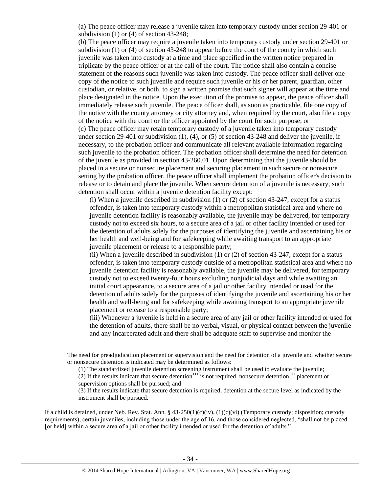(a) The peace officer may release a juvenile taken into temporary custody under section 29-401 or subdivision (1) or (4) of section 43-248;

(b) The peace officer may require a juvenile taken into temporary custody under section 29-401 or subdivision (1) or (4) of section 43-248 to appear before the court of the county in which such juvenile was taken into custody at a time and place specified in the written notice prepared in triplicate by the peace officer or at the call of the court. The notice shall also contain a concise statement of the reasons such juvenile was taken into custody. The peace officer shall deliver one copy of the notice to such juvenile and require such juvenile or his or her parent, guardian, other custodian, or relative, or both, to sign a written promise that such signer will appear at the time and place designated in the notice. Upon the execution of the promise to appear, the peace officer shall immediately release such juvenile. The peace officer shall, as soon as practicable, file one copy of the notice with the county attorney or city attorney and, when required by the court, also file a copy of the notice with the court or the officer appointed by the court for such purpose; or (c) The peace officer may retain temporary custody of a juvenile taken into temporary custody under section 29-401 or subdivision (1), (4), or (5) of section 43-248 and deliver the juvenile, if necessary, to the probation officer and communicate all relevant available information regarding such juvenile to the probation officer. The probation officer shall determine the need for detention of the juvenile as provided in section 43-260.01. Upon determining that the juvenile should be placed in a secure or nonsecure placement and securing placement in such secure or nonsecure setting by the probation officer, the peace officer shall implement the probation officer's decision to release or to detain and place the juvenile. When secure detention of a juvenile is necessary, such detention shall occur within a juvenile detention facility except:

(i) When a juvenile described in subdivision  $(1)$  or  $(2)$  of section 43-247, except for a status offender, is taken into temporary custody within a metropolitan statistical area and where no juvenile detention facility is reasonably available, the juvenile may be delivered, for temporary custody not to exceed six hours, to a secure area of a jail or other facility intended or used for the detention of adults solely for the purposes of identifying the juvenile and ascertaining his or her health and well-being and for safekeeping while awaiting transport to an appropriate juvenile placement or release to a responsible party;

(ii) When a juvenile described in subdivision  $(1)$  or  $(2)$  of section 43-247, except for a status offender, is taken into temporary custody outside of a metropolitan statistical area and where no juvenile detention facility is reasonably available, the juvenile may be delivered, for temporary custody not to exceed twenty-four hours excluding nonjudicial days and while awaiting an initial court appearance, to a secure area of a jail or other facility intended or used for the detention of adults solely for the purposes of identifying the juvenile and ascertaining his or her health and well-being and for safekeeping while awaiting transport to an appropriate juvenile placement or release to a responsible party;

(iii) Whenever a juvenile is held in a secure area of any jail or other facility intended or used for the detention of adults, there shall be no verbal, visual, or physical contact between the juvenile and any incarcerated adult and there shall be adequate staff to supervise and monitor the

 $\overline{a}$ 

If a child is detained, under Neb. Rev. Stat. Ann. §  $43-250(1)(c)(iv)$ ,  $(1)(c)(vi)$  (Temporary custody; disposition; custody requirements), certain juveniles, including those under the age of 16, and those considered neglected, "shall not be placed [or held] within a secure area of a jail or other facility intended or used for the detention of adults."

The need for preadjudication placement or supervision and the need for detention of a juvenile and whether secure or nonsecure detention is indicated may be determined as follows:

<sup>(1)</sup> The standardized juvenile detention screening instrument shall be used to evaluate the juvenile;

<sup>(2)</sup> If the results indicate that secure detention<sup>111</sup> is not required, nonsecure detention<sup>111</sup> placement or supervision options shall be pursued; and

<sup>(3)</sup> If the results indicate that secure detention is required, detention at the secure level as indicated by the instrument shall be pursued.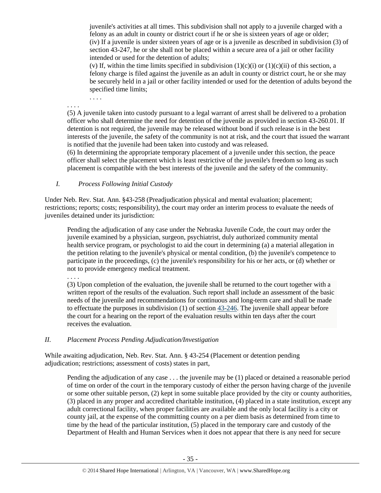juvenile's activities at all times. This subdivision shall not apply to a juvenile charged with a felony as an adult in county or district court if he or she is sixteen years of age or older; (iv) If a juvenile is under sixteen years of age or is a juvenile as described in subdivision (3) of section 43-247, he or she shall not be placed within a secure area of a jail or other facility intended or used for the detention of adults;

(v) If, within the time limits specified in subdivision  $(1)(c)(i)$  or  $(1)(c)(ii)$  of this section, a felony charge is filed against the juvenile as an adult in county or district court, he or she may be securely held in a jail or other facility intended or used for the detention of adults beyond the specified time limits;

. . . .

. . . .

(5) A juvenile taken into custody pursuant to a legal warrant of arrest shall be delivered to a probation officer who shall determine the need for detention of the juvenile as provided in section 43-260.01. If detention is not required, the juvenile may be released without bond if such release is in the best interests of the juvenile, the safety of the community is not at risk, and the court that issued the warrant is notified that the juvenile had been taken into custody and was released.

(6) In determining the appropriate temporary placement of a juvenile under this section, the peace officer shall select the placement which is least restrictive of the juvenile's freedom so long as such placement is compatible with the best interests of the juvenile and the safety of the community.

*I. Process Following Initial Custody*

Under Neb. Rev. Stat. Ann. §43-258 (Preadjudication physical and mental evaluation; placement; restrictions; reports; costs; responsibility), the court may order an interim process to evaluate the needs of juveniles detained under its jurisdiction:

Pending the adjudication of any case under the Nebraska Juvenile Code, the court may order the juvenile examined by a physician, surgeon, psychiatrist, duly authorized community mental health service program, or psychologist to aid the court in determining (a) a material allegation in the petition relating to the juvenile's physical or mental condition, (b) the juvenile's competence to participate in the proceedings, (c) the juvenile's responsibility for his or her acts, or (d) whether or not to provide emergency medical treatment.

. . . .

(3) Upon completion of the evaluation, the juvenile shall be returned to the court together with a written report of the results of the evaluation. Such report shall include an assessment of the basic needs of the juvenile and recommendations for continuous and long-term care and shall be made to effectuate the purposes in subdivision  $(1)$  of section  $43-246$ . The juvenile shall appear before the court for a hearing on the report of the evaluation results within ten days after the court receives the evaluation.

# *II. Placement Process Pending Adjudication/Investigation*

While awaiting adjudication, Neb. Rev. Stat. Ann. § 43-254 (Placement or detention pending adjudication; restrictions; assessment of costs) states in part,

Pending the adjudication of any case . . . the juvenile may be (1) placed or detained a reasonable period of time on order of the court in the temporary custody of either the person having charge of the juvenile or some other suitable person, (2) kept in some suitable place provided by the city or county authorities, (3) placed in any proper and accredited charitable institution, (4) placed in a state institution, except any adult correctional facility, when proper facilities are available and the only local facility is a city or county jail, at the expense of the committing county on a per diem basis as determined from time to time by the head of the particular institution, (5) placed in the temporary care and custody of the Department of Health and Human Services when it does not appear that there is any need for secure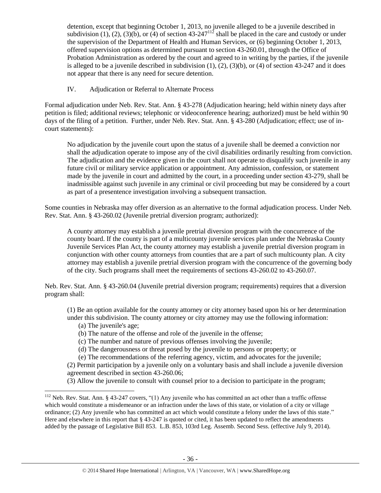detention, except that beginning October 1, 2013, no juvenile alleged to be a juvenile described in subdivision (1), (2), (3)(b), or (4) of sectio[n 43-247](http://nebraskalegislature.gov/laws/statutes.php?statute=43-247)<sup>112</sup> shall be placed in the care and custody or under the supervision of the Department of Health and Human Services, or (6) beginning October 1, 2013, offered supervision options as determined pursuant to section [43-260.01,](http://nebraskalegislature.gov/laws/statutes.php?statute=43-260.01) through the Office of Probation Administration as ordered by the court and agreed to in writing by the parties, if the juvenile is alleged to be a juvenile described in subdivision  $(1)$ ,  $(2)$ ,  $(3)(b)$ , or  $(4)$  of section [43-247](http://nebraskalegislature.gov/laws/statutes.php?statute=43-247) and it does not appear that there is any need for secure detention.

# IV. Adjudication or Referral to Alternate Process

Formal adjudication under Neb. Rev. Stat. Ann. § 43-278 (Adjudication hearing; held within ninety days after petition is filed; additional reviews; telephonic or videoconference hearing; authorized) must be held within 90 days of the filing of a petition. Further, under Neb. Rev. Stat. Ann. § 43-280 (Adjudication; effect; use of incourt statements):

No adjudication by the juvenile court upon the status of a juvenile shall be deemed a conviction nor shall the adjudication operate to impose any of the civil disabilities ordinarily resulting from conviction. The adjudication and the evidence given in the court shall not operate to disqualify such juvenile in any future civil or military service application or appointment. Any admission, confession, or statement made by the juvenile in court and admitted by the court, in a proceeding under section 43-279, shall be inadmissible against such juvenile in any criminal or civil proceeding but may be considered by a court as part of a presentence investigation involving a subsequent transaction.

Some counties in Nebraska may offer diversion as an alternative to the formal adjudication process. Under Neb. Rev. Stat. Ann. § 43-260.02 (Juvenile pretrial diversion program; authorized):

A county attorney may establish a juvenile pretrial diversion program with the concurrence of the county board. If the county is part of a multicounty juvenile services plan under the Nebraska County Juvenile Services Plan Act, the county attorney may establish a juvenile pretrial diversion program in conjunction with other county attorneys from counties that are a part of such multicounty plan. A city attorney may establish a juvenile pretrial diversion program with the concurrence of the governing body of the city. Such programs shall meet the requirements of sections 43-260.02 to 43-260.07.

Neb. Rev. Stat. Ann. § 43-260.04 (Juvenile pretrial diversion program; requirements) requires that a diversion program shall:

(1) Be an option available for the county attorney or city attorney based upon his or her determination under this subdivision. The county attorney or city attorney may use the following information:

## (a) The juvenile's age;

l

(b) The nature of the offense and role of the juvenile in the offense;

(c) The number and nature of previous offenses involving the juvenile;

(d) The dangerousness or threat posed by the juvenile to persons or property; or

(e) The recommendations of the referring agency, victim, and advocates for the juvenile;

(2) Permit participation by a juvenile only on a voluntary basis and shall include a juvenile diversion agreement described in section 43-260.06;

(3) Allow the juvenile to consult with counsel prior to a decision to participate in the program;

<sup>&</sup>lt;sup>112</sup> Neb. Rev. Stat. Ann. § 43-247 covers, "(1) Any juvenile who has committed an act other than a traffic offense which would constitute a misdemeanor or an infraction under the laws of this state, or violation of a city or village ordinance; (2) Any juvenile who has committed an act which would constitute a felony under the laws of this state." Here and elsewhere in this report that § 43-247 is quoted or cited, it has been updated to reflect the amendments added by the passage of Legislative Bill 853. L.B. 853, 103rd Leg. Assemb. Second Sess. (effective July 9, 2014).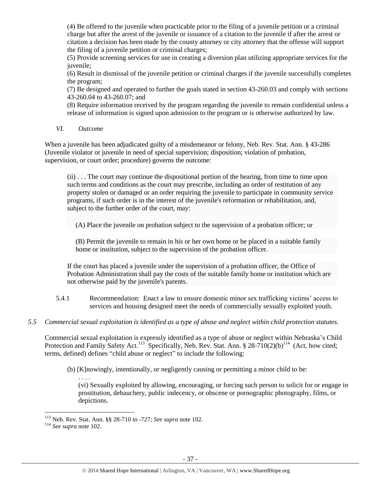(4) Be offered to the juvenile when practicable prior to the filing of a juvenile petition or a criminal charge but after the arrest of the juvenile or issuance of a citation to the juvenile if after the arrest or citation a decision has been made by the county attorney or city attorney that the offense will support the filing of a juvenile petition or criminal charges;

(5) Provide screening services for use in creating a diversion plan utilizing appropriate services for the juvenile;

(6) Result in dismissal of the juvenile petition or criminal charges if the juvenile successfully completes the program;

(7) Be designed and operated to further the goals stated in section 43-260.03 and comply with sections 43-260.04 to 43-260.07; and

(8) Require information received by the program regarding the juvenile to remain confidential unless a release of information is signed upon admission to the program or is otherwise authorized by law.

*VI. Outcome*

When a juvenile has been adjudicated guilty of a misdemeanor or felony, Neb. Rev. Stat. Ann. § 43-286 (Juvenile violator or juvenile in need of special supervision; disposition; violation of probation, supervision, or court order; procedure) governs the outcome:

(ii) . . . The court may continue the dispositional portion of the hearing, from time to time upon such terms and conditions as the court may prescribe, including an order of restitution of any property stolen or damaged or an order requiring the juvenile to participate in community service programs, if such order is in the interest of the juvenile's reformation or rehabilitation, and, subject to the further order of the court, may:

(A) Place the juvenile on probation subject to the supervision of a probation officer; or

(B) Permit the juvenile to remain in his or her own home or be placed in a suitable family home or institution, subject to the supervision of the probation officer.

If the court has placed a juvenile under the supervision of a probation officer, the Office of Probation Administration shall pay the costs of the suitable family home or institution which are not otherwise paid by the juvenile's parents.

- 5.4.1 Recommendation: Enact a law to ensure domestic minor sex trafficking victims' access to services and housing designed meet the needs of commercially sexually exploited youth.
- *5.5 Commercial sexual exploitation is identified as a type of abuse and neglect within child protection statutes.*

Commercial sexual exploitation is expressly identified as a type of abuse or neglect within Nebraska's Child Protection and Family Safety Act.<sup>113</sup> Specifically, Neb. Rev. Stat. Ann. § 28-710(2)(b)<sup>114</sup> (Act, how cited; terms, defined) defines "child abuse or neglect" to include the following:

(b) [K]nowingly, intentionally, or negligently causing or permitting a minor child to be:

<span id="page-36-0"></span>. . . . (vi) Sexually exploited by allowing, encouraging, or forcing such person to solicit for or engage in prostitution, debauchery, public indecency, or obscene or pornographic photography, films, or depictions.

 $\overline{a}$ 

<sup>113</sup> Neb. Rev. Stat. Ann. §§ 28-710 to -727; *See supra* not[e 102.](#page-28-0)

<sup>114</sup> *See supra* note [102.](#page-28-0)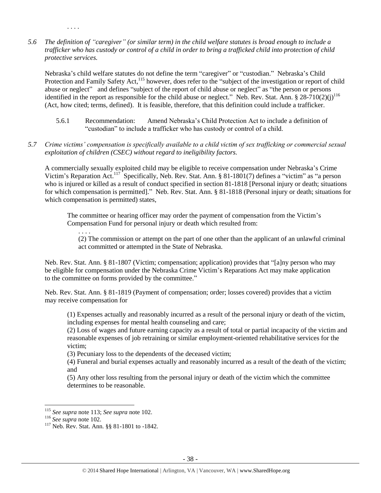*5.6 The definition of "caregiver" (or similar term) in the child welfare statutes is broad enough to include a trafficker who has custody or control of a child in order to bring a trafficked child into protection of child protective services.*

Nebraska's child welfare statutes do not define the term "caregiver" or "custodian." Nebraska's Child Protection and Family Safety Act,<sup>115</sup> however, does refer to the "subject of the investigation or report of child abuse or neglect" and defines "subject of the report of child abuse or neglect" as "the person or persons identified in the report as responsible for the child abuse or neglect." Neb. Rev. Stat. Ann. § 28-710(2)(j)<sup>116</sup> (Act, how cited; terms, defined). It is feasible, therefore, that this definition could include a trafficker.

- 5.6.1 Recommendation: Amend Nebraska's Child Protection Act to include a definition of "custodian" to include a trafficker who has custody or control of a child.
- *5.7 Crime victims' compensation is specifically available to a child victim of sex trafficking or commercial sexual exploitation of children (CSEC) without regard to ineligibility factors.*

A commercially sexually exploited child may be eligible to receive compensation under Nebraska's Crime Victim's Reparation Act.<sup>117</sup> Specifically, Neb. Rev. Stat. Ann. § 81-1801(7) defines a "victim" as "a person who is injured or killed as a result of conduct specified in section 81-1818 [Personal injury or death; situations for which compensation is permitted]." Neb. Rev. Stat. Ann. § 81-1818 (Personal injury or death; situations for which compensation is permitted) states,

The committee or hearing officer may order the payment of compensation from the Victim's Compensation Fund for personal injury or death which resulted from:

. . . .

. . . .

(2) The commission or attempt on the part of one other than the applicant of an unlawful criminal act committed or attempted in the State of Nebraska.

Neb. Rev. Stat. Ann. § 81-1807 (Victim; compensation; application) provides that "[a]ny person who may be eligible for compensation under the Nebraska Crime Victim's Reparations Act may make application to the committee on forms provided by the committee."

Neb. Rev. Stat. Ann. § 81-1819 (Payment of compensation; order; losses covered) provides that a victim may receive compensation for

(1) Expenses actually and reasonably incurred as a result of the personal injury or death of the victim, including expenses for mental health counseling and care;

(2) Loss of wages and future earning capacity as a result of total or partial incapacity of the victim and reasonable expenses of job retraining or similar employment-oriented rehabilitative services for the victim;

(3) Pecuniary loss to the dependents of the deceased victim;

(4) Funeral and burial expenses actually and reasonably incurred as a result of the death of the victim; and

(5) Any other loss resulting from the personal injury or death of the victim which the committee determines to be reasonable.

l <sup>115</sup> *See supra* not[e 113;](#page-36-0) *See supra* note [102.](#page-28-0)

<sup>116</sup> *See supra* note [102.](#page-28-0) 

<sup>117</sup> Neb. Rev. Stat. Ann. §§ 81-1801 to -1842.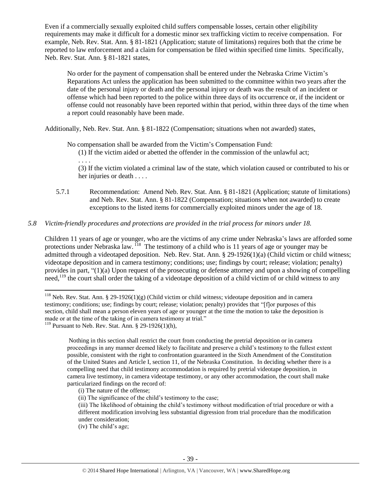Even if a commercially sexually exploited child suffers compensable losses, certain other eligibility requirements may make it difficult for a domestic minor sex trafficking victim to receive compensation. For example, Neb. Rev. Stat. Ann. § 81-1821 (Application; statute of limitations) requires both that the crime be reported to law enforcement and a claim for compensation be filed within specified time limits. Specifically, Neb. Rev. Stat. Ann. § 81-1821 states,

No order for the payment of compensation shall be entered under the Nebraska Crime Victim's Reparations Act unless the application has been submitted to the committee within two years after the date of the personal injury or death and the personal injury or death was the result of an incident or offense which had been reported to the police within three days of its occurrence or, if the incident or offense could not reasonably have been reported within that period, within three days of the time when a report could reasonably have been made.

Additionally, Neb. Rev. Stat. Ann. § 81-1822 (Compensation; situations when not awarded) states,

No compensation shall be awarded from the Victim's Compensation Fund:

(1) If the victim aided or abetted the offender in the commission of the unlawful act; . . . .

(3) If the victim violated a criminal law of the state, which violation caused or contributed to his or her injuries or death . . . .

5.7.1 Recommendation: Amend Neb. Rev. Stat. Ann. § 81-1821 (Application; statute of limitations) and Neb. Rev. Stat. Ann. § 81-1822 (Compensation; situations when not awarded) to create exceptions to the listed items for commercially exploited minors under the age of 18.

# *5.8 Victim-friendly procedures and protections are provided in the trial process for minors under 18.*

Children 11 years of age or younger, who are the victims of any crime under Nebraska's laws are afforded some protections under Nebraska law. <sup>118</sup> The testimony of a child who is 11 years of age or younger may be admitted through a videotaped deposition. Neb. Rev. Stat. Ann. § 29-1926(1)(a) (Child victim or child witness; videotape deposition and in camera testimony; conditions; use; findings by court; release; violation; penalty) provides in part, "(1)(a) Upon request of the prosecuting or defense attorney and upon a showing of compelling need,<sup>119</sup> the court shall order the taking of a videotape deposition of a child victim of or child witness to any

 $\overline{\phantom{a}}$ 

<sup>&</sup>lt;sup>118</sup> Neb. Rev. Stat. Ann. § 29-1926(1)(g) (Child victim or child witness; videotape deposition and in camera testimony; conditions; use; findings by court; release; violation; penalty) provides that "[f]or purposes of this section, child shall mean a person eleven years of age or younger at the time the motion to take the deposition is made or at the time of the taking of in camera testimony at trial."

<sup>&</sup>lt;sup>119</sup> Pursuant to Neb. Rev. Stat. Ann.  $\S$  29-1926(1)(h),

Nothing in this section shall restrict the court from conducting the pretrial deposition or in camera proceedings in any manner deemed likely to facilitate and preserve a child's testimony to the fullest extent possible, consistent with the right to confrontation guaranteed in the Sixth Amendment of the Constitution of the United States and Article I, section 11, of the Nebraska Constitution. In deciding whether there is a compelling need that child testimony accommodation is required by pretrial videotape deposition, in camera live testimony, in camera videotape testimony, or any other accommodation, the court shall make particularized findings on the record of:

<sup>(</sup>i) The nature of the offense;

<sup>(</sup>ii) The significance of the child's testimony to the case;

<sup>(</sup>iii) The likelihood of obtaining the child's testimony without modification of trial procedure or with a different modification involving less substantial digression from trial procedure than the modification under consideration;

<sup>(</sup>iv) The child's age;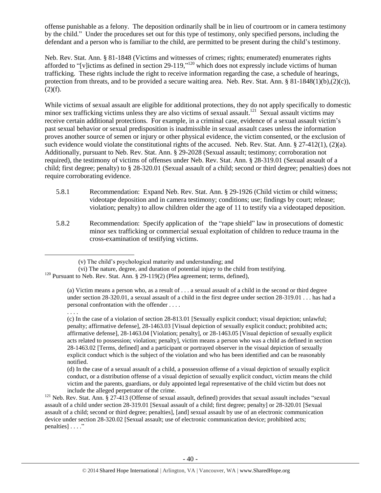offense punishable as a felony. The deposition ordinarily shall be in lieu of courtroom or in camera testimony by the child." Under the procedures set out for this type of testimony, only specified persons, including the defendant and a person who is familiar to the child, are permitted to be present during the child's testimony.

Neb. Rev. Stat. Ann. § 81-1848 (Victims and witnesses of crimes; rights; enumerated) enumerates rights afforded to "[v]ictims as defined in section 29-119,"<sup>120</sup> which does not expressly include victims of human trafficking. These rights include the right to receive information regarding the case, a schedule of hearings, protection from threats, and to be provided a secure waiting area. Neb. Rev. Stat. Ann. § 81-1848(1)(b),(2)(c)),  $(2)(f)$ .

While victims of sexual assault are eligible for additional protections, they do not apply specifically to domestic minor sex trafficking victims unless they are also victims of sexual assault.<sup>121</sup> Sexual assault victims may receive certain additional protections. For example, in a criminal case, evidence of a sexual assault victim's past sexual behavior or sexual predisposition is inadmissible in sexual assault cases unless the information proves another source of semen or injury or other physical evidence, the victim consented, or the exclusion of such evidence would violate the constitutional rights of the accused. Neb. Rev. Stat. Ann. § 27-412(1), (2)(a). Additionally, pursuant to Neb. Rev. Stat. Ann. § 29-2028 (Sexual assault; testimony; corroboration not required), the testimony of victims of offenses under Neb. Rev. Stat. Ann. § 28-319.01 (Sexual assault of a child; first degree; penalty) to § 28-320.01 (Sexual assault of a child; second or third degree; penalties) does not require corroborating evidence.

- 5.8.1 Recommendation: Expand Neb. Rev. Stat. Ann. § 29-1926 (Child victim or child witness; videotape deposition and in camera testimony; conditions; use; findings by court; release; violation; penalty) to allow children older the age of 11 to testify via a videotaped deposition.
- 5.8.2 Recommendation: Specify application of the "rape shield" law in prosecutions of domestic minor sex trafficking or commercial sexual exploitation of children to reduce trauma in the cross-examination of testifying victims.

l

<sup>(</sup>v) The child's psychological maturity and understanding; and

<sup>(</sup>vi) The nature, degree, and duration of potential injury to the child from testifying.  $120$  Pursuant to Neb. Rev. Stat. Ann. § 29-119(2) (Plea agreement; terms, defined),

<sup>(</sup>a) Victim means a person who, as a result of . . . a sexual assault of a child in the second or third degree under section 28-320.01, a sexual assault of a child in the first degree under section 28-319.01 . . . has had a personal confrontation with the offender . . . . . . . .

<sup>(</sup>c) In the case of a violation of section 28-813.01 [Sexually explicit conduct; visual depiction; unlawful; penalty; affirmative defense], 28-1463.03 [Visual depiction of sexually explicit conduct; prohibited acts; affirmative defense], 28-1463.04 [Violation; penalty], or 28-1463.05 [Visual depiction of sexually explicit acts related to possession; violation; penalty], victim means a person who was a child as defined in section 28-1463.02 [Terms, defined] and a participant or portrayed observer in the visual depiction of sexually explicit conduct which is the subject of the violation and who has been identified and can be reasonably notified.

<sup>(</sup>d) In the case of a sexual assault of a child, a possession offense of a visual depiction of sexually explicit conduct, or a distribution offense of a visual depiction of sexually explicit conduct, victim means the child victim and the parents, guardians, or duly appointed legal representative of the child victim but does not include the alleged perpetrator of the crime.

 $121$  Neb. Rev. Stat. Ann. § 27-413 (Offense of sexual assault, defined) provides that sexual assault includes "sexual assault of a child under section 28-319.01 [Sexual assault of a child; first degree; penalty] or 28-320.01 [Sexual assault of a child; second or third degree; penalties], [and] sexual assault by use of an electronic communication device under section 28-320.02 [Sexual assault; use of electronic communication device; prohibited acts; penalties] . . . ."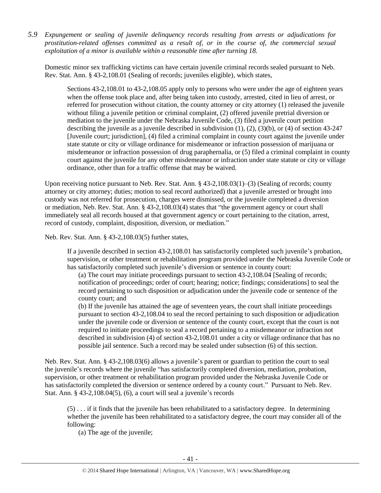*5.9 Expungement or sealing of juvenile delinquency records resulting from arrests or adjudications for prostitution-related offenses committed as a result of, or in the course of, the commercial sexual exploitation of a minor is available within a reasonable time after turning 18.*

Domestic minor sex trafficking victims can have certain juvenile criminal records sealed pursuant to Neb. Rev. Stat. Ann. § 43-2,108.01 (Sealing of records; juveniles eligible), which states,

Sections 43-2,108.01 to 43-2,108.05 apply only to persons who were under the age of eighteen years when the offense took place and, after being taken into custody, arrested, cited in lieu of arrest, or referred for prosecution without citation, the county attorney or city attorney (1) released the juvenile without filing a juvenile petition or criminal complaint, (2) offered juvenile pretrial diversion or mediation to the juvenile under the Nebraska Juvenile Code, (3) filed a juvenile court petition describing the juvenile as a juvenile described in subdivision (1), (2), (3)(b), or (4) of section 43-247 [Juvenile court; jurisdiction], (4) filed a criminal complaint in county court against the juvenile under state statute or city or village ordinance for misdemeanor or infraction possession of marijuana or misdemeanor or infraction possession of drug paraphernalia, or (5) filed a criminal complaint in county court against the juvenile for any other misdemeanor or infraction under state statute or city or village ordinance, other than for a traffic offense that may be waived.

Upon receiving notice pursuant to Neb. Rev. Stat. Ann. § 43-2,108.03(1)–(3) (Sealing of records; county attorney or city attorney; duties; motion to seal record authorized) that a juvenile arrested or brought into custody was not referred for prosecution, charges were dismissed, or the juvenile completed a diversion or mediation, Neb. Rev. Stat. Ann. § 43-2,108.03(4) states that "the government agency or court shall immediately seal all records housed at that government agency or court pertaining to the citation, arrest, record of custody, complaint, disposition, diversion, or mediation."

Neb. Rev. Stat. Ann. § 43-2,108.03(5) further states,

If a juvenile described in section 43-2,108.01 has satisfactorily completed such juvenile's probation, supervision, or other treatment or rehabilitation program provided under the Nebraska Juvenile Code or has satisfactorily completed such juvenile's diversion or sentence in county court:

(a) The court may initiate proceedings pursuant to section 43-2,108.04 [Sealing of records; notification of proceedings; order of court; hearing; notice; findings; considerations] to seal the record pertaining to such disposition or adjudication under the juvenile code or sentence of the county court; and

(b) If the juvenile has attained the age of seventeen years, the court shall initiate proceedings pursuant to section 43-2,108.04 to seal the record pertaining to such disposition or adjudication under the juvenile code or diversion or sentence of the county court, except that the court is not required to initiate proceedings to seal a record pertaining to a misdemeanor or infraction not described in subdivision (4) of section 43-2,108.01 under a city or village ordinance that has no possible jail sentence. Such a record may be sealed under subsection (6) of this section.

Neb. Rev. Stat. Ann. § 43-2,108.03(6) allows a juvenile's parent or guardian to petition the court to seal the juvenile's records where the juvenile "has satisfactorily completed diversion, mediation, probation, supervision, or other treatment or rehabilitation program provided under the Nebraska Juvenile Code or has satisfactorily completed the diversion or sentence ordered by a county court." Pursuant to Neb. Rev. Stat. Ann. § 43-2,108.04(5), (6), a court will seal a juvenile's records

(5) . . . if it finds that the juvenile has been rehabilitated to a satisfactory degree. In determining whether the juvenile has been rehabilitated to a satisfactory degree, the court may consider all of the following:

(a) The age of the juvenile;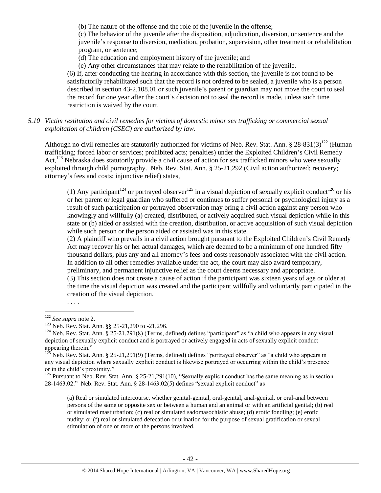(b) The nature of the offense and the role of the juvenile in the offense;

(c) The behavior of the juvenile after the disposition, adjudication, diversion, or sentence and the juvenile's response to diversion, mediation, probation, supervision, other treatment or rehabilitation program, or sentence;

(d) The education and employment history of the juvenile; and

(e) Any other circumstances that may relate to the rehabilitation of the juvenile.

(6) If, after conducting the hearing in accordance with this section, the juvenile is not found to be satisfactorily rehabilitated such that the record is not ordered to be sealed, a juvenile who is a person described in section 43-2,108.01 or such juvenile's parent or guardian may not move the court to seal the record for one year after the court's decision not to seal the record is made, unless such time restriction is waived by the court.

*5.10 Victim restitution and civil remedies for victims of domestic minor sex trafficking or commercial sexual exploitation of children (CSEC) are authorized by law.* 

Although no civil remedies are statutorily authorized for victims of Neb. Rev. Stat. Ann.  $\S 28-831(3)^{122}$  (Human trafficking; forced labor or services; prohibited acts; penalties) under the Exploited Children's Civil Remedy Act,<sup>123</sup> Nebraska does statutorily provide a civil cause of action for sex trafficked minors who were sexually exploited through child pornography. Neb. Rev. Stat. Ann. § 25-21,292 (Civil action authorized; recovery; attorney's fees and costs; injunctive relief) states,

(1) Any participant<sup>124</sup> or portrayed observer<sup>125</sup> in a visual depiction of sexually explicit conduct<sup>126</sup> or his or her parent or legal guardian who suffered or continues to suffer personal or psychological injury as a result of such participation or portrayed observation may bring a civil action against any person who knowingly and willfully (a) created, distributed, or actively acquired such visual depiction while in this state or (b) aided or assisted with the creation, distribution, or active acquisition of such visual depiction while such person or the person aided or assisted was in this state.

(2) A plaintiff who prevails in a civil action brought pursuant to the Exploited Children's Civil Remedy Act may recover his or her actual damages, which are deemed to be a minimum of one hundred fifty thousand dollars, plus any and all attorney's fees and costs reasonably associated with the civil action. In addition to all other remedies available under the act, the court may also award temporary, preliminary, and permanent injunctive relief as the court deems necessary and appropriate. (3) This section does not create a cause of action if the participant was sixteen years of age or older at

the time the visual depiction was created and the participant willfully and voluntarily participated in the creation of the visual depiction.

 $\overline{\phantom{a}}$ 

<sup>126</sup> Pursuant to Neb. Rev. Stat. Ann. § 25-21,291(10), "Sexually explicit conduct has the same meaning as in section 28-1463.02." Neb. Rev. Stat. Ann. § 28-1463.02(5) defines "sexual explicit conduct" as

(a) Real or simulated intercourse, whether genital-genital, oral-genital, anal-genital, or oral-anal between persons of the same or opposite sex or between a human and an animal or with an artificial genital; (b) real or simulated masturbation; (c) real or simulated sadomasochistic abuse; (d) erotic fondling; (e) erotic nudity; or (f) real or simulated defecation or urination for the purpose of sexual gratification or sexual stimulation of one or more of the persons involved.

<sup>. . . .</sup>

<sup>122</sup> *See supra* note [2.](#page-0-0)

<sup>&</sup>lt;sup>123</sup> Neb. Rev. Stat. Ann. §§ 25-21,290 to -21,296.

 $124$  Neb. Rev. Stat. Ann. § 25-21,291(8) (Terms, defined) defines "participant" as "a child who appears in any visual depiction of sexually explicit conduct and is portrayed or actively engaged in acts of sexually explicit conduct appearing therein."

<sup>125</sup> Neb. Rev. Stat. Ann. § 25-21,291(9) (Terms, defined) defines "portrayed observer" as "a child who appears in any visual depiction where sexually explicit conduct is likewise portrayed or occurring within the child's presence or in the child's proximity."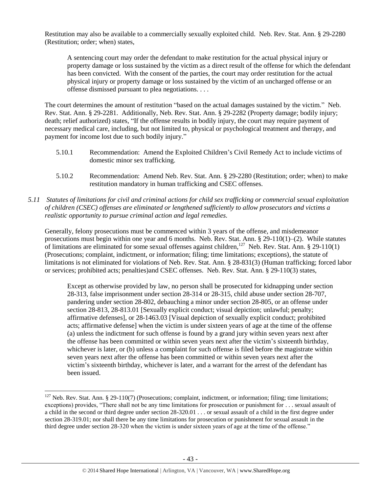Restitution may also be available to a commercially sexually exploited child. Neb. Rev. Stat. Ann. § 29-2280 (Restitution; order; when) states,

A sentencing court may order the defendant to make restitution for the actual physical injury or property damage or loss sustained by the victim as a direct result of the offense for which the defendant has been convicted. With the consent of the parties, the court may order restitution for the actual physical injury or property damage or loss sustained by the victim of an uncharged offense or an offense dismissed pursuant to plea negotiations. . . .

The court determines the amount of restitution "based on the actual damages sustained by the victim." Neb. Rev. Stat. Ann. § 29-2281. Additionally, Neb. Rev. Stat. Ann. § 29-2282 (Property damage; bodily injury; death; relief authorized) states, "If the offense results in bodily injury, the court may require payment of necessary medical care, including, but not limited to, physical or psychological treatment and therapy, and payment for income lost due to such bodily injury."

- 5.10.1 Recommendation: Amend the Exploited Children's Civil Remedy Act to include victims of domestic minor sex trafficking.
- 5.10.2 Recommendation: Amend Neb. Rev. Stat. Ann. § 29-2280 (Restitution; order; when) to make restitution mandatory in human trafficking and CSEC offenses.
- *5.11 Statutes of limitations for civil and criminal actions for child sex trafficking or commercial sexual exploitation of children (CSEC) offenses are eliminated or lengthened sufficiently to allow prosecutors and victims a realistic opportunity to pursue criminal action and legal remedies.*

Generally, felony prosecutions must be commenced within 3 years of the offense, and misdemeanor prosecutions must begin within one year and 6 months. Neb. Rev. Stat. Ann. § 29-110(1)–(2). While statutes of limitations are eliminated for some sexual offenses against children,<sup>127</sup> Neb. Rev. Stat. Ann. § 29-110(1) (Prosecutions; complaint, indictment, or information; filing; time limitations; exceptions), the statute of limitations is not eliminated for violations of Neb. Rev. Stat. Ann. § 28-831(3) (Human trafficking; forced labor or services; prohibited acts; penalties)and CSEC offenses. Neb. Rev. Stat. Ann. § 29-110(3) states,

Except as otherwise provided by law, no person shall be prosecuted for kidnapping under section 28-313, false imprisonment under section 28-314 or 28-315, child abuse under section 28-707, pandering under section 28-802, debauching a minor under section 28-805, or an offense under section 28-813, 28-813.01 [Sexually explicit conduct; visual depiction; unlawful; penalty; affirmative defenses], or 28-1463.03 [Visual depiction of sexually explicit conduct; prohibited acts; affirmative defense] when the victim is under sixteen years of age at the time of the offense (a) unless the indictment for such offense is found by a grand jury within seven years next after the offense has been committed or within seven years next after the victim's sixteenth birthday, whichever is later, or (b) unless a complaint for such offense is filed before the magistrate within seven years next after the offense has been committed or within seven years next after the victim's sixteenth birthday, whichever is later, and a warrant for the arrest of the defendant has been issued.

l

 $127$  Neb. Rev. Stat. Ann. § 29-110(7) (Prosecutions; complaint, indictment, or information; filing; time limitations; exceptions) provides, "There shall not be any time limitations for prosecution or punishment for . . . sexual assault of a child in the second or third degree under section 28-320.01 . . . or sexual assault of a child in the first degree under section 28-319.01; nor shall there be any time limitations for prosecution or punishment for sexual assault in the third degree under section 28-320 when the victim is under sixteen years of age at the time of the offense."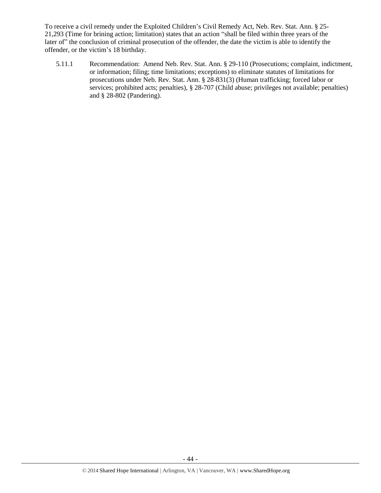To receive a civil remedy under the Exploited Children's Civil Remedy Act, Neb. Rev. Stat. Ann. § 25- 21,293 (Time for brining action; limitation) states that an action "shall be filed within three years of the later of" the conclusion of criminal prosecution of the offender, the date the victim is able to identify the offender, or the victim's 18 birthday.

5.11.1 Recommendation: Amend Neb. Rev. Stat. Ann. § 29-110 (Prosecutions; complaint, indictment, or information; filing; time limitations; exceptions) to eliminate statutes of limitations for prosecutions under Neb. Rev. Stat. Ann. § 28-831(3) (Human trafficking; forced labor or services; prohibited acts; penalties), § 28-707 (Child abuse; privileges not available; penalties) and § 28-802 (Pandering).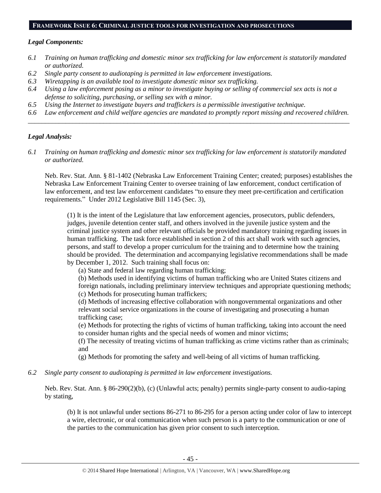#### **FRAMEWORK ISSUE 6: CRIMINAL JUSTICE TOOLS FOR INVESTIGATION AND PROSECUTIONS**

#### *Legal Components:*

- *6.1 Training on human trafficking and domestic minor sex trafficking for law enforcement is statutorily mandated or authorized.*
- *6.2 Single party consent to audiotaping is permitted in law enforcement investigations.*
- *6.3 Wiretapping is an available tool to investigate domestic minor sex trafficking.*
- *6.4 Using a law enforcement posing as a minor to investigate buying or selling of commercial sex acts is not a defense to soliciting, purchasing, or selling sex with a minor.*
- *6.5 Using the Internet to investigate buyers and traffickers is a permissible investigative technique.*
- *6.6 Law enforcement and child welfare agencies are mandated to promptly report missing and recovered children. \_\_\_\_\_\_\_\_\_\_\_\_\_\_\_\_\_\_\_\_\_\_\_\_\_\_\_\_\_\_\_\_\_\_\_\_\_\_\_\_\_\_\_\_\_\_\_\_\_\_\_\_\_\_\_\_\_\_\_\_\_\_\_\_\_\_\_\_\_\_\_\_\_\_\_\_\_\_\_\_\_\_\_\_\_\_\_\_\_\_\_\_\_\_*

#### *Legal Analysis:*

*6.1 Training on human trafficking and domestic minor sex trafficking for law enforcement is statutorily mandated or authorized.*

Neb. Rev. Stat. Ann. § 81-1402 (Nebraska Law Enforcement Training Center; created; purposes) establishes the Nebraska Law Enforcement Training Center to oversee training of law enforcement, conduct certification of law enforcement, and test law enforcement candidates "to ensure they meet pre-certification and certification requirements." Under 2012 Legislative Bill 1145 (Sec. 3),

(1) It is the intent of the Legislature that law enforcement agencies, prosecutors, public defenders, judges, juvenile detention center staff, and others involved in the juvenile justice system and the criminal justice system and other relevant officials be provided mandatory training regarding issues in human trafficking. The task force established in section 2 of this act shall work with such agencies, persons, and staff to develop a proper curriculum for the training and to determine how the training should be provided. The determination and accompanying legislative recommendations shall be made by December 1, 2012. Such training shall focus on:

(a) State and federal law regarding human trafficking;

(b) Methods used in identifying victims of human trafficking who are United States citizens and foreign nationals, including preliminary interview techniques and appropriate questioning methods; (c) Methods for prosecuting human traffickers;

(d) Methods of increasing effective collaboration with nongovernmental organizations and other relevant social service organizations in the course of investigating and prosecuting a human trafficking case;

(e) Methods for protecting the rights of victims of human trafficking, taking into account the need to consider human rights and the special needs of women and minor victims;

(f) The necessity of treating victims of human trafficking as crime victims rather than as criminals; and

(g) Methods for promoting the safety and well-being of all victims of human trafficking.

*6.2 Single party consent to audiotaping is permitted in law enforcement investigations.*

Neb. Rev. Stat. Ann. § 86-290(2)(b), (c) (Unlawful acts; penalty) permits single-party consent to audio-taping by stating,

(b) It is not unlawful under sections 86-271 to 86-295 for a person acting under color of law to intercept a wire, electronic, or oral communication when such person is a party to the communication or one of the parties to the communication has given prior consent to such interception.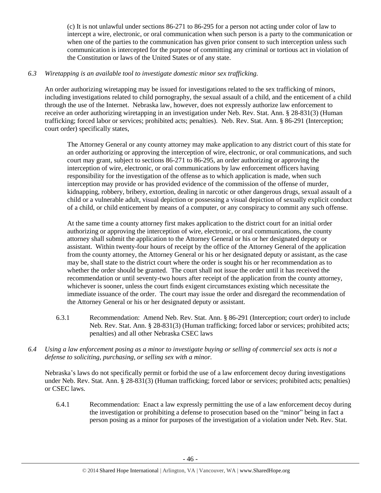(c) It is not unlawful under sections 86-271 to 86-295 for a person not acting under color of law to intercept a wire, electronic, or oral communication when such person is a party to the communication or when one of the parties to the communication has given prior consent to such interception unless such communication is intercepted for the purpose of committing any criminal or tortious act in violation of the Constitution or laws of the United States or of any state.

# *6.3 Wiretapping is an available tool to investigate domestic minor sex trafficking.*

An order authorizing wiretapping may be issued for investigations related to the sex trafficking of minors, including investigations related to child pornography, the sexual assault of a child, and the enticement of a child through the use of the Internet. Nebraska law, however, does not expressly authorize law enforcement to receive an order authorizing wiretapping in an investigation under Neb. Rev. Stat. Ann. § 28-831(3) (Human trafficking; forced labor or services; prohibited acts; penalties). Neb. Rev. Stat. Ann. § 86-291 (Interception; court order) specifically states,

The Attorney General or any county attorney may make application to any district court of this state for an order authorizing or approving the interception of wire, electronic, or oral communications, and such court may grant, subject to sections 86-271 to 86-295, an order authorizing or approving the interception of wire, electronic, or oral communications by law enforcement officers having responsibility for the investigation of the offense as to which application is made, when such interception may provide or has provided evidence of the commission of the offense of murder, kidnapping, robbery, bribery, extortion, dealing in narcotic or other dangerous drugs, sexual assault of a child or a vulnerable adult, visual depiction or possessing a visual depiction of sexually explicit conduct of a child, or child enticement by means of a computer, or any conspiracy to commit any such offense.

At the same time a county attorney first makes application to the district court for an initial order authorizing or approving the interception of wire, electronic, or oral communications, the county attorney shall submit the application to the Attorney General or his or her designated deputy or assistant. Within twenty-four hours of receipt by the office of the Attorney General of the application from the county attorney, the Attorney General or his or her designated deputy or assistant, as the case may be, shall state to the district court where the order is sought his or her recommendation as to whether the order should be granted. The court shall not issue the order until it has received the recommendation or until seventy-two hours after receipt of the application from the county attorney, whichever is sooner, unless the court finds exigent circumstances existing which necessitate the immediate issuance of the order. The court may issue the order and disregard the recommendation of the Attorney General or his or her designated deputy or assistant.

- 6.3.1 Recommendation: Amend Neb. Rev. Stat. Ann. § 86-291 (Interception; court order) to include Neb. Rev. Stat. Ann. § 28-831(3) (Human trafficking; forced labor or services; prohibited acts; penalties) and all other Nebraska CSEC laws
- *6.4 Using a law enforcement posing as a minor to investigate buying or selling of commercial sex acts is not a defense to soliciting, purchasing, or selling sex with a minor.*

Nebraska's laws do not specifically permit or forbid the use of a law enforcement decoy during investigations under Neb. Rev. Stat. Ann. § 28-831(3) (Human trafficking; forced labor or services; prohibited acts; penalties) or CSEC laws.

6.4.1 Recommendation: Enact a law expressly permitting the use of a law enforcement decoy during the investigation or prohibiting a defense to prosecution based on the "minor" being in fact a person posing as a minor for purposes of the investigation of a violation under Neb. Rev. Stat.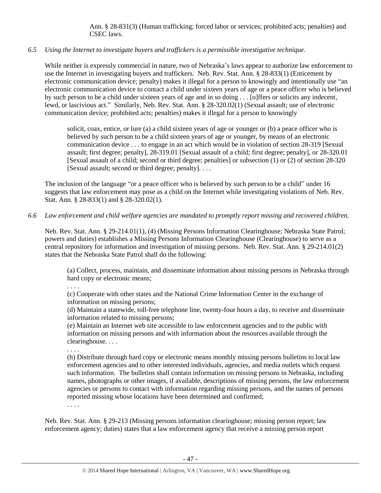Ann. § 28-831(3) (Human trafficking; forced labor or services; prohibited acts; penalties) and CSEC laws.

# *6.5 Using the Internet to investigate buyers and traffickers is a permissible investigative technique.*

While neither is expressly commercial in nature, two of Nebraska's laws appear to authorize law enforcement to use the Internet in investigating buyers and traffickers. Neb. Rev. Stat. Ann. § 28-833(1) (Enticement by electronic communication device; penalty) makes it illegal for a person to knowingly and intentionally use "an electronic communication device to contact a child under sixteen years of age or a peace officer who is believed by such person to be a child under sixteen years of age and in so doing . . . [o]ffers or solicits any indecent, lewd, or lascivious act." Similarly, Neb. Rev. Stat. Ann. § 28-320.02(1) (Sexual assault; use of electronic communication device; prohibited acts; penalties) makes it illegal for a person to knowingly

solicit, coax, entice, or lure (a) a child sixteen years of age or younger or (b) a peace officer who is believed by such person to be a child sixteen years of age or younger, by means of an electronic communication device . . . to engage in an act which would be in violation of section [28-319](http://nebraskalegislature.gov/laws/statutes.php?statute=28-319) [Sexual assault; first degree; penalty], [28-319.01](http://nebraskalegislature.gov/laws/statutes.php?statute=28-319.01) [Sexual assault of a child; first degree; penalty], or [28-320.01](http://nebraskalegislature.gov/laws/statutes.php?statute=28-320.01) [Sexual assault of a child; second or third degree; penalties] or subsection (1) or (2) of section [28-320](http://nebraskalegislature.gov/laws/statutes.php?statute=28-320) [Sexual assault; second or third degree; penalty]. . . .

The inclusion of the language "or a peace officer who is believed by such person to be a child" under 16 suggests that law enforcement may pose as a child on the Internet while investigating violations of Neb. Rev. Stat. Ann. § 28-833(1) and § 28-320.02(1).

# *6.6 Law enforcement and child welfare agencies are mandated to promptly report missing and recovered children.*

Neb. Rev. Stat. Ann. § 29-214.01(1), (4) (Missing Persons Information Clearinghouse; Nebraska State Patrol; powers and duties) establishes a Missing Persons Information Clearinghouse (Clearinghouse) to serve as a central repository for information and investigation of missing persons. Neb. Rev. Stat. Ann. § 29-214.01(2) states that the Nebraska State Patrol shall do the following:

(a) Collect, process, maintain, and disseminate information about missing persons in Nebraska through hard copy or electronic means;

. . . .

(c) Cooperate with other states and the National Crime Information Center in the exchange of information on missing persons;

(d) Maintain a statewide, toll-free telephone line, twenty-four hours a day, to receive and disseminate information related to missing persons;

(e) Maintain an Internet web site accessible to law enforcement agencies and to the public with information on missing persons and with information about the resources available through the clearinghouse. . . .

. . . .

(h) Distribute through hard copy or electronic means monthly missing persons bulletins to local law enforcement agencies and to other interested individuals, agencies, and media outlets which request such information. The bulletins shall contain information on missing persons in Nebraska, including names, photographs or other images, if available, descriptions of missing persons, the law enforcement agencies or persons to contact with information regarding missing persons, and the names of persons reported missing whose locations have been determined and confirmed;

. . . .

Neb. Rev. Stat. Ann. § 29-213 (Missing persons information clearinghouse; missing person report; law enforcement agency; duties) states that a law enforcement agency that receive a missing person report